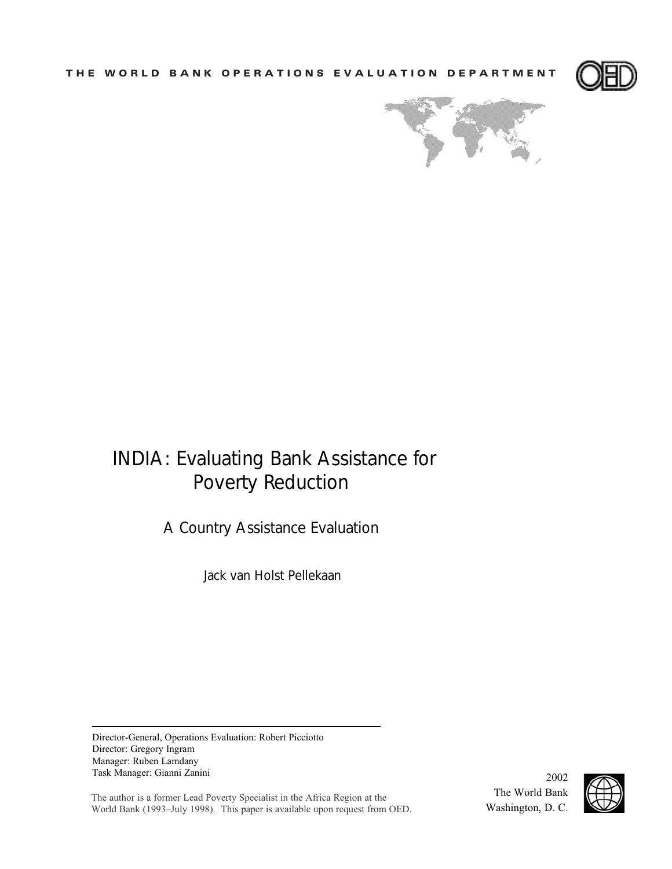**THE WORLD BANK OPERATIONS EVALUATION DEPARTMENT**





# INDIA: Evaluating Bank Assistance for Poverty Reduction

A Country Assistance Evaluation

Jack van Holst Pellekaan

Director-General, Operations Evaluation: Robert Picciotto Director: Gregory Ingram Manager: Ruben Lamdany Task Manager: Gianni Zanini

The author is a former Lead Poverty Specialist in the Africa Region at the World Bank (1993–July 1998). This paper is available upon request from OED.

The World Bank Washington, D. C.

2002

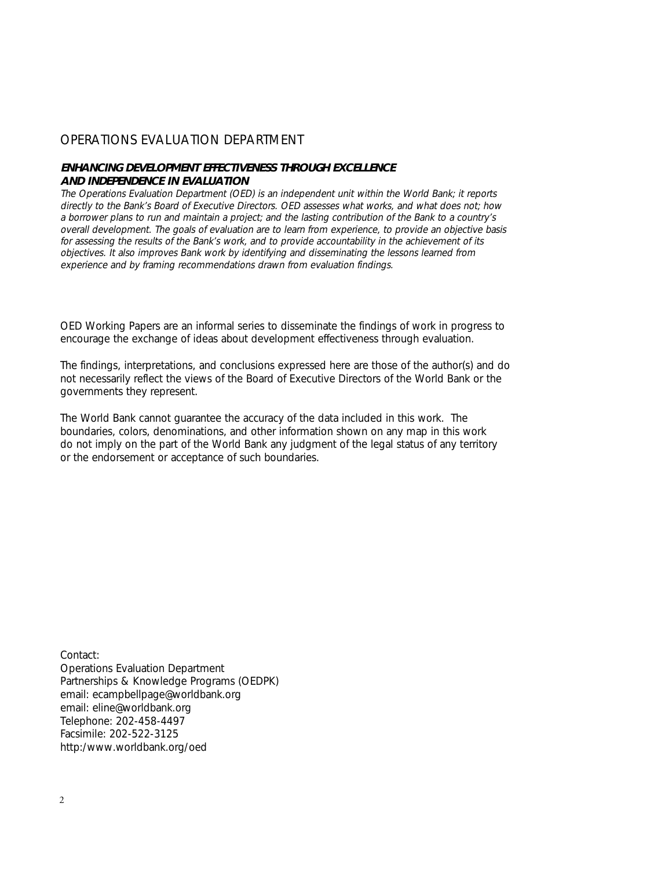## OPERATIONS EVALUATION DEPARTMENT

#### **ENHANCING DEVELOPMENT EFFECTIVENESS THROUGH EXCELLENCE AND INDEPENDENCE IN EVALUATION**

The Operations Evaluation Department (OED) is an independent unit within the World Bank; it reports directly to the Bank's Board of Executive Directors. OED assesses what works, and what does not; how a borrower plans to run and maintain a project; and the lasting contribution of the Bank to a country's overall development. The goals of evaluation are to learn from experience, to provide an objective basis for assessing the results of the Bank's work, and to provide accountability in the achievement of its objectives. It also improves Bank work by identifying and disseminating the lessons learned from experience and by framing recommendations drawn from evaluation findings.

OED Working Papers are an informal series to disseminate the findings of work in progress to encourage the exchange of ideas about development effectiveness through evaluation.

The findings, interpretations, and conclusions expressed here are those of the author(s) and do not necessarily reflect the views of the Board of Executive Directors of the World Bank or the governments they represent.

The World Bank cannot guarantee the accuracy of the data included in this work. The boundaries, colors, denominations, and other information shown on any map in this work do not imply on the part of the World Bank any judgment of the legal status of any territory or the endorsement or acceptance of such boundaries.

Contact: Operations Evaluation Department Partnerships & Knowledge Programs (OEDPK) email: ecampbellpage@worldbank.org email: eline@worldbank.org Telephone: 202-458-4497 Facsimile: 202-522-3125 http:/www.worldbank.org/oed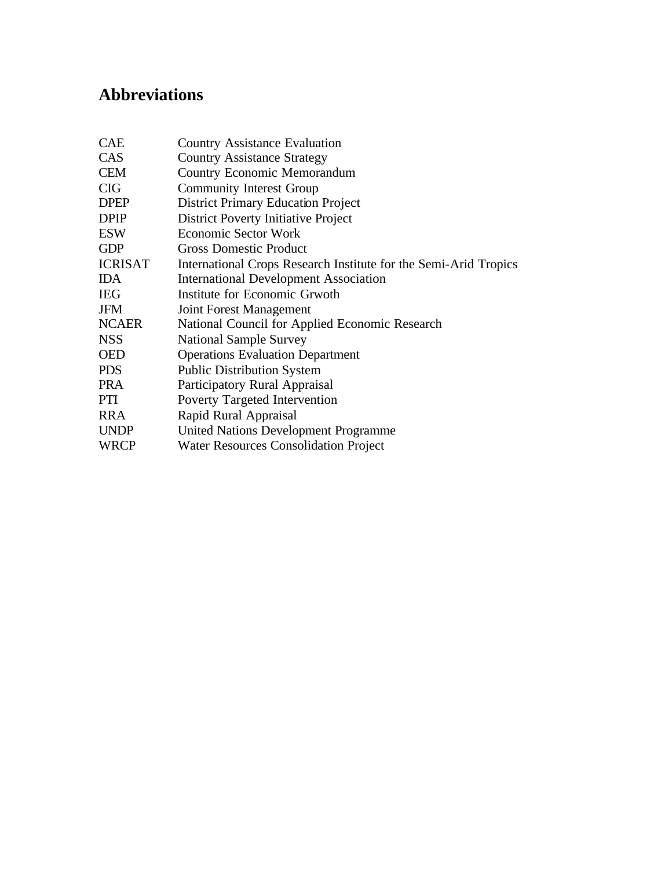# **Abbreviations**

| <b>CAE</b>     | <b>Country Assistance Evaluation</b>                             |
|----------------|------------------------------------------------------------------|
| CAS            | <b>Country Assistance Strategy</b>                               |
| <b>CEM</b>     | <b>Country Economic Memorandum</b>                               |
| <b>CIG</b>     | <b>Community Interest Group</b>                                  |
| <b>DPEP</b>    | <b>District Primary Education Project</b>                        |
| <b>DPIP</b>    | <b>District Poverty Initiative Project</b>                       |
| <b>ESW</b>     | <b>Economic Sector Work</b>                                      |
| <b>GDP</b>     | <b>Gross Domestic Product</b>                                    |
| <b>ICRISAT</b> | International Crops Research Institute for the Semi-Arid Tropics |
| <b>IDA</b>     | <b>International Development Association</b>                     |
| <b>IEG</b>     | Institute for Economic Grwoth                                    |
| <b>JFM</b>     | Joint Forest Management                                          |
| <b>NCAER</b>   | National Council for Applied Economic Research                   |
| <b>NSS</b>     | <b>National Sample Survey</b>                                    |
| <b>OED</b>     | <b>Operations Evaluation Department</b>                          |
| <b>PDS</b>     | <b>Public Distribution System</b>                                |
| <b>PRA</b>     | Participatory Rural Appraisal                                    |
| PTI            | Poverty Targeted Intervention                                    |
| <b>RRA</b>     | Rapid Rural Appraisal                                            |
| <b>UNDP</b>    | <b>United Nations Development Programme</b>                      |
| <b>WRCP</b>    | <b>Water Resources Consolidation Project</b>                     |
|                |                                                                  |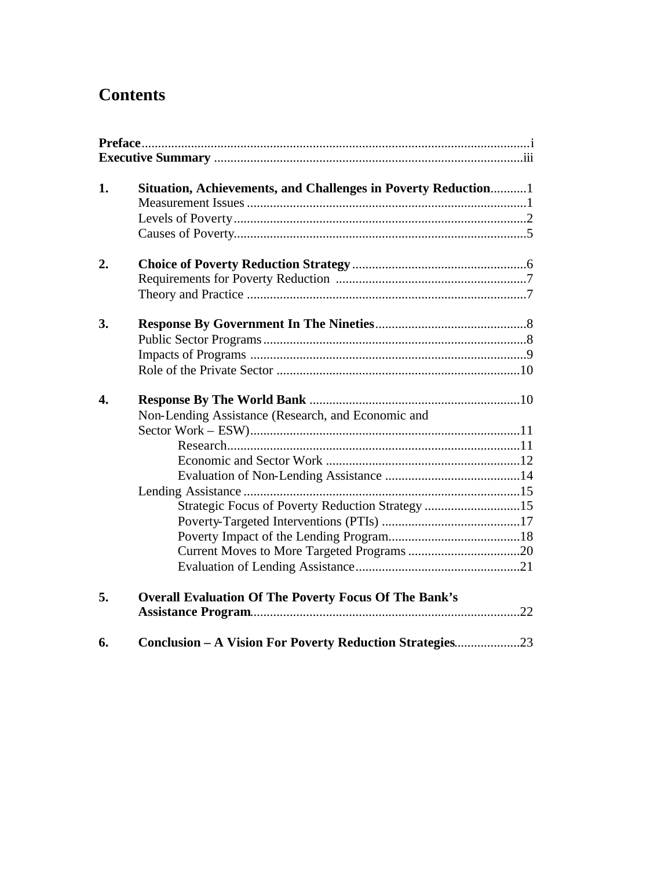# **Contents**

| 1. | Situation, Achievements, and Challenges in Poverty Reduction 1                                                   |
|----|------------------------------------------------------------------------------------------------------------------|
| 2. |                                                                                                                  |
| 3. |                                                                                                                  |
| 4. | Non-Lending Assistance (Research, and Economic and                                                               |
| 5. | Strategic Focus of Poverty Reduction Strategy 15<br><b>Overall Evaluation Of The Poverty Focus Of The Bank's</b> |
| 6. | Conclusion - A Vision For Poverty Reduction Strategies23                                                         |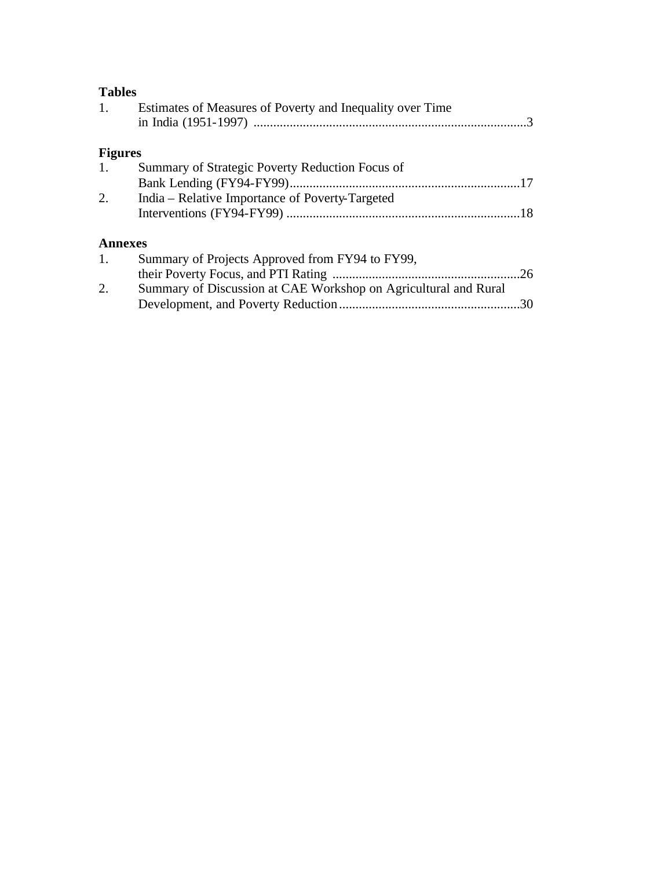| 1.             | Estimates of Measures of Poverty and Inequality over Time       |     |
|----------------|-----------------------------------------------------------------|-----|
| <b>Figures</b> |                                                                 |     |
| $\mathbf{1}$ . | Summary of Strategic Poverty Reduction Focus of                 |     |
|                |                                                                 |     |
| 2.             | India – Relative Importance of Poverty-Targeted                 |     |
|                |                                                                 |     |
| <b>Annexes</b> |                                                                 |     |
| 1.             | Summary of Projects Approved from FY94 to FY99,                 |     |
|                |                                                                 | .26 |
| 2.             | Summary of Discussion at CAE Workshop on Agricultural and Rural |     |
|                |                                                                 | .30 |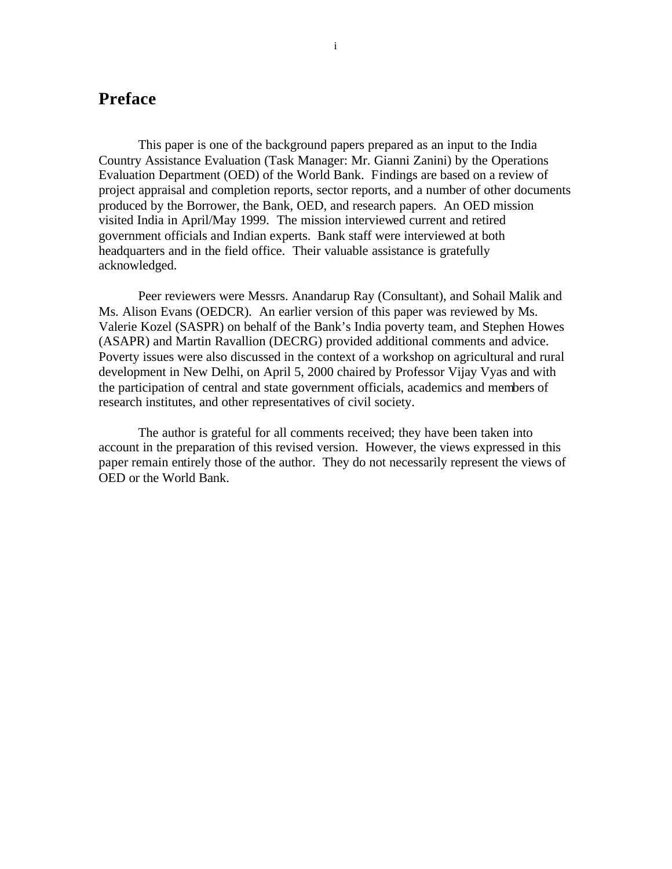# **Preface**

This paper is one of the background papers prepared as an input to the India Country Assistance Evaluation (Task Manager: Mr. Gianni Zanini) by the Operations Evaluation Department (OED) of the World Bank. Findings are based on a review of project appraisal and completion reports, sector reports, and a number of other documents produced by the Borrower, the Bank, OED, and research papers. An OED mission visited India in April/May 1999. The mission interviewed current and retired government officials and Indian experts. Bank staff were interviewed at both headquarters and in the field office. Their valuable assistance is gratefully acknowledged.

Peer reviewers were Messrs. Anandarup Ray (Consultant), and Sohail Malik and Ms. Alison Evans (OEDCR). An earlier version of this paper was reviewed by Ms. Valerie Kozel (SASPR) on behalf of the Bank's India poverty team, and Stephen Howes (ASAPR) and Martin Ravallion (DECRG) provided additional comments and advice. Poverty issues were also discussed in the context of a workshop on agricultural and rural development in New Delhi, on April 5, 2000 chaired by Professor Vijay Vyas and with the participation of central and state government officials, academics and members of research institutes, and other representatives of civil society.

The author is grateful for all comments received; they have been taken into account in the preparation of this revised version. However, the views expressed in this paper remain entirely those of the author. They do not necessarily represent the views of OED or the World Bank.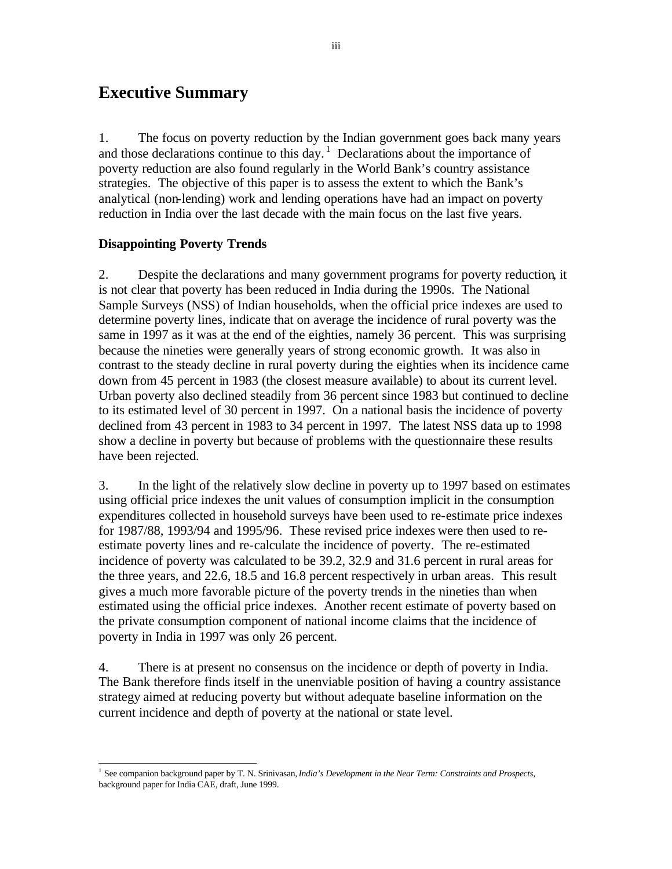# **Executive Summary**

1. The focus on poverty reduction by the Indian government goes back many years and those declarations continue to this day.<sup>1</sup> Declarations about the importance of poverty reduction are also found regularly in the World Bank's country assistance strategies. The objective of this paper is to assess the extent to which the Bank's analytical (non-lending) work and lending operations have had an impact on poverty reduction in India over the last decade with the main focus on the last five years.

# **Disappointing Poverty Trends**

2. Despite the declarations and many government programs for poverty reduction, it is not clear that poverty has been reduced in India during the 1990s. The National Sample Surveys (NSS) of Indian households, when the official price indexes are used to determine poverty lines, indicate that on average the incidence of rural poverty was the same in 1997 as it was at the end of the eighties, namely 36 percent. This was surprising because the nineties were generally years of strong economic growth. It was also in contrast to the steady decline in rural poverty during the eighties when its incidence came down from 45 percent in 1983 (the closest measure available) to about its current level. Urban poverty also declined steadily from 36 percent since 1983 but continued to decline to its estimated level of 30 percent in 1997. On a national basis the incidence of poverty declined from 43 percent in 1983 to 34 percent in 1997. The latest NSS data up to 1998 show a decline in poverty but because of problems with the questionnaire these results have been rejected.

3. In the light of the relatively slow decline in poverty up to 1997 based on estimates using official price indexes the unit values of consumption implicit in the consumption expenditures collected in household surveys have been used to re-estimate price indexes for 1987/88, 1993/94 and 1995/96. These revised price indexes were then used to reestimate poverty lines and re-calculate the incidence of poverty. The re-estimated incidence of poverty was calculated to be 39.2, 32.9 and 31.6 percent in rural areas for the three years, and 22.6, 18.5 and 16.8 percent respectively in urban areas. This result gives a much more favorable picture of the poverty trends in the nineties than when estimated using the official price indexes. Another recent estimate of poverty based on the private consumption component of national income claims that the incidence of poverty in India in 1997 was only 26 percent.

4. There is at present no consensus on the incidence or depth of poverty in India. The Bank therefore finds itself in the unenviable position of having a country assistance strategy aimed at reducing poverty but without adequate baseline information on the current incidence and depth of poverty at the national or state level.

 1 See companion background paper by T. N. Srinivasan, *India's Development in the Near Term: Constraints and Prospects*, background paper for India CAE, draft, June 1999.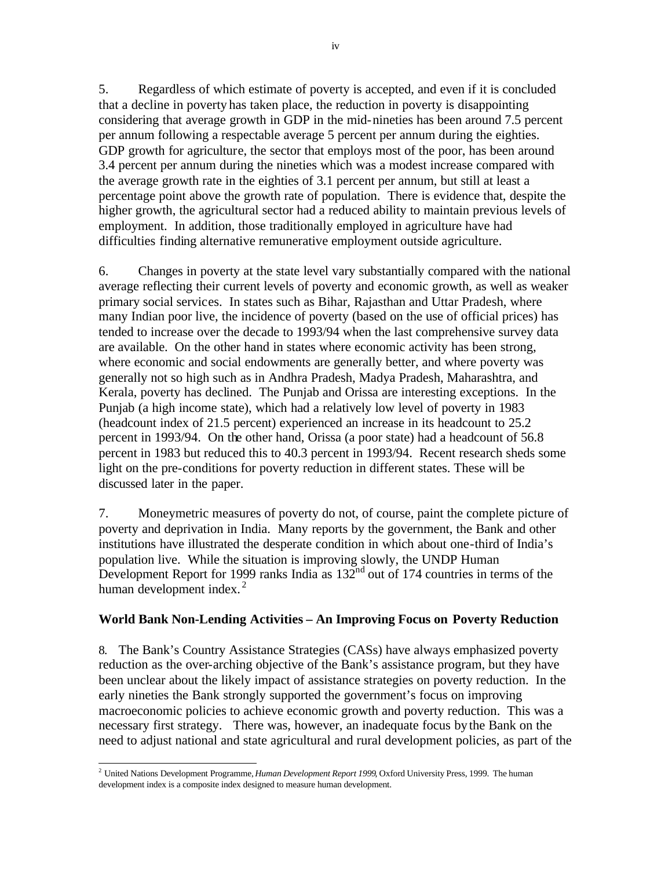5. Regardless of which estimate of poverty is accepted, and even if it is concluded that a decline in poverty has taken place, the reduction in poverty is disappointing considering that average growth in GDP in the mid-nineties has been around 7.5 percent per annum following a respectable average 5 percent per annum during the eighties. GDP growth for agriculture, the sector that employs most of the poor, has been around 3.4 percent per annum during the nineties which was a modest increase compared with the average growth rate in the eighties of 3.1 percent per annum, but still at least a percentage point above the growth rate of population. There is evidence that, despite the higher growth, the agricultural sector had a reduced ability to maintain previous levels of employment. In addition, those traditionally employed in agriculture have had difficulties finding alternative remunerative employment outside agriculture.

6. Changes in poverty at the state level vary substantially compared with the national average reflecting their current levels of poverty and economic growth, as well as weaker primary social services. In states such as Bihar, Rajasthan and Uttar Pradesh, where many Indian poor live, the incidence of poverty (based on the use of official prices) has tended to increase over the decade to 1993/94 when the last comprehensive survey data are available. On the other hand in states where economic activity has been strong, where economic and social endowments are generally better, and where poverty was generally not so high such as in Andhra Pradesh, Madya Pradesh, Maharashtra, and Kerala, poverty has declined. The Punjab and Orissa are interesting exceptions. In the Punjab (a high income state), which had a relatively low level of poverty in 1983 (headcount index of 21.5 percent) experienced an increase in its headcount to 25.2 percent in 1993/94. On the other hand, Orissa (a poor state) had a headcount of 56.8 percent in 1983 but reduced this to 40.3 percent in 1993/94. Recent research sheds some light on the pre-conditions for poverty reduction in different states. These will be discussed later in the paper.

7. Moneymetric measures of poverty do not, of course, paint the complete picture of poverty and deprivation in India. Many reports by the government, the Bank and other institutions have illustrated the desperate condition in which about one-third of India's population live. While the situation is improving slowly, the UNDP Human Development Report for 1999 ranks India as  $132<sup>nd</sup>$  out of 174 countries in terms of the human development index. $<sup>2</sup>$ </sup>

### **World Bank Non-Lending Activities – An Improving Focus on Poverty Reduction**

8. The Bank's Country Assistance Strategies (CASs) have always emphasized poverty reduction as the over-arching objective of the Bank's assistance program, but they have been unclear about the likely impact of assistance strategies on poverty reduction. In the early nineties the Bank strongly supported the government's focus on improving macroeconomic policies to achieve economic growth and poverty reduction. This was a necessary first strategy. There was, however, an inadequate focus by the Bank on the need to adjust national and state agricultural and rural development policies, as part of the

 2 United Nations Development Programme, *Human Development Report 1999*, Oxford University Press, 1999. The human development index is a composite index designed to measure human development.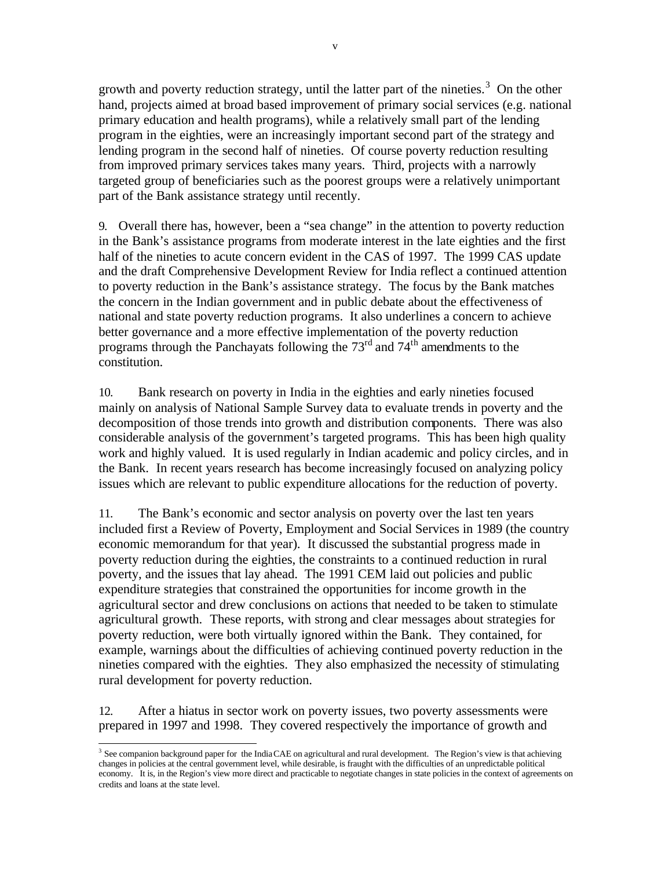growth and poverty reduction strategy, until the latter part of the nineties.<sup>3</sup> On the other hand, projects aimed at broad based improvement of primary social services (e.g. national primary education and health programs), while a relatively small part of the lending program in the eighties, were an increasingly important second part of the strategy and lending program in the second half of nineties. Of course poverty reduction resulting from improved primary services takes many years. Third, projects with a narrowly targeted group of beneficiaries such as the poorest groups were a relatively unimportant part of the Bank assistance strategy until recently.

9. Overall there has, however, been a "sea change" in the attention to poverty reduction in the Bank's assistance programs from moderate interest in the late eighties and the first half of the nineties to acute concern evident in the CAS of 1997. The 1999 CAS update and the draft Comprehensive Development Review for India reflect a continued attention to poverty reduction in the Bank's assistance strategy. The focus by the Bank matches the concern in the Indian government and in public debate about the effectiveness of national and state poverty reduction programs. It also underlines a concern to achieve better governance and a more effective implementation of the poverty reduction programs through the Panchayats following the 73rd and 74th amendments to the constitution.

10. Bank research on poverty in India in the eighties and early nineties focused mainly on analysis of National Sample Survey data to evaluate trends in poverty and the decomposition of those trends into growth and distribution components. There was also considerable analysis of the government's targeted programs. This has been high quality work and highly valued. It is used regularly in Indian academic and policy circles, and in the Bank. In recent years research has become increasingly focused on analyzing policy issues which are relevant to public expenditure allocations for the reduction of poverty.

11. The Bank's economic and sector analysis on poverty over the last ten years included first a Review of Poverty, Employment and Social Services in 1989 (the country economic memorandum for that year). It discussed the substantial progress made in poverty reduction during the eighties, the constraints to a continued reduction in rural poverty, and the issues that lay ahead. The 1991 CEM laid out policies and public expenditure strategies that constrained the opportunities for income growth in the agricultural sector and drew conclusions on actions that needed to be taken to stimulate agricultural growth. These reports, with strong and clear messages about strategies for poverty reduction, were both virtually ignored within the Bank. They contained, for example, warnings about the difficulties of achieving continued poverty reduction in the nineties compared with the eighties. They also emphasized the necessity of stimulating rural development for poverty reduction.

12. After a hiatus in sector work on poverty issues, two poverty assessments were prepared in 1997 and 1998. They covered respectively the importance of growth and

<sup>&</sup>lt;sup>3</sup> See companion background paper for the India CAE on agricultural and rural development. The Region's view is that achieving changes in policies at the central government level, while desirable, is fraught with the difficulties of an unpredictable political economy. It is, in the Region's view more direct and practicable to negotiate changes in state policies in the context of agreements on credits and loans at the state level.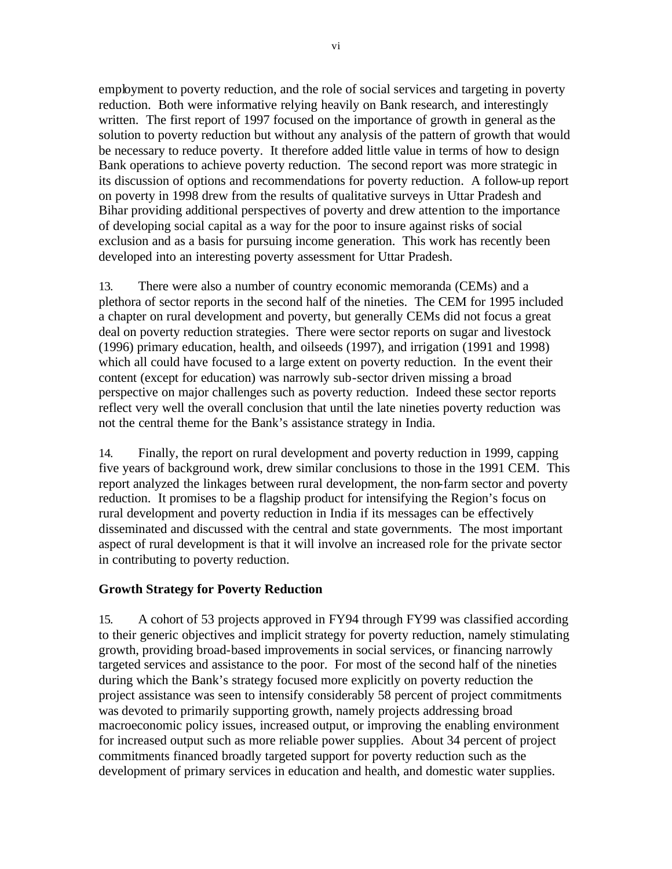employment to poverty reduction, and the role of social services and targeting in poverty reduction. Both were informative relying heavily on Bank research, and interestingly written. The first report of 1997 focused on the importance of growth in general as the solution to poverty reduction but without any analysis of the pattern of growth that would be necessary to reduce poverty. It therefore added little value in terms of how to design Bank operations to achieve poverty reduction. The second report was more strategic in its discussion of options and recommendations for poverty reduction. A follow-up report on poverty in 1998 drew from the results of qualitative surveys in Uttar Pradesh and Bihar providing additional perspectives of poverty and drew attention to the importance of developing social capital as a way for the poor to insure against risks of social exclusion and as a basis for pursuing income generation. This work has recently been developed into an interesting poverty assessment for Uttar Pradesh.

13. There were also a number of country economic memoranda (CEMs) and a plethora of sector reports in the second half of the nineties. The CEM for 1995 included a chapter on rural development and poverty, but generally CEMs did not focus a great deal on poverty reduction strategies. There were sector reports on sugar and livestock (1996) primary education, health, and oilseeds (1997), and irrigation (1991 and 1998) which all could have focused to a large extent on poverty reduction. In the event their content (except for education) was narrowly sub-sector driven missing a broad perspective on major challenges such as poverty reduction. Indeed these sector reports reflect very well the overall conclusion that until the late nineties poverty reduction was not the central theme for the Bank's assistance strategy in India.

14. Finally, the report on rural development and poverty reduction in 1999, capping five years of background work, drew similar conclusions to those in the 1991 CEM. This report analyzed the linkages between rural development, the non-farm sector and poverty reduction. It promises to be a flagship product for intensifying the Region's focus on rural development and poverty reduction in India if its messages can be effectively disseminated and discussed with the central and state governments. The most important aspect of rural development is that it will involve an increased role for the private sector in contributing to poverty reduction.

# **Growth Strategy for Poverty Reduction**

15. A cohort of 53 projects approved in FY94 through FY99 was classified according to their generic objectives and implicit strategy for poverty reduction, namely stimulating growth, providing broad-based improvements in social services, or financing narrowly targeted services and assistance to the poor. For most of the second half of the nineties during which the Bank's strategy focused more explicitly on poverty reduction the project assistance was seen to intensify considerably 58 percent of project commitments was devoted to primarily supporting growth, namely projects addressing broad macroeconomic policy issues, increased output, or improving the enabling environment for increased output such as more reliable power supplies. About 34 percent of project commitments financed broadly targeted support for poverty reduction such as the development of primary services in education and health, and domestic water supplies.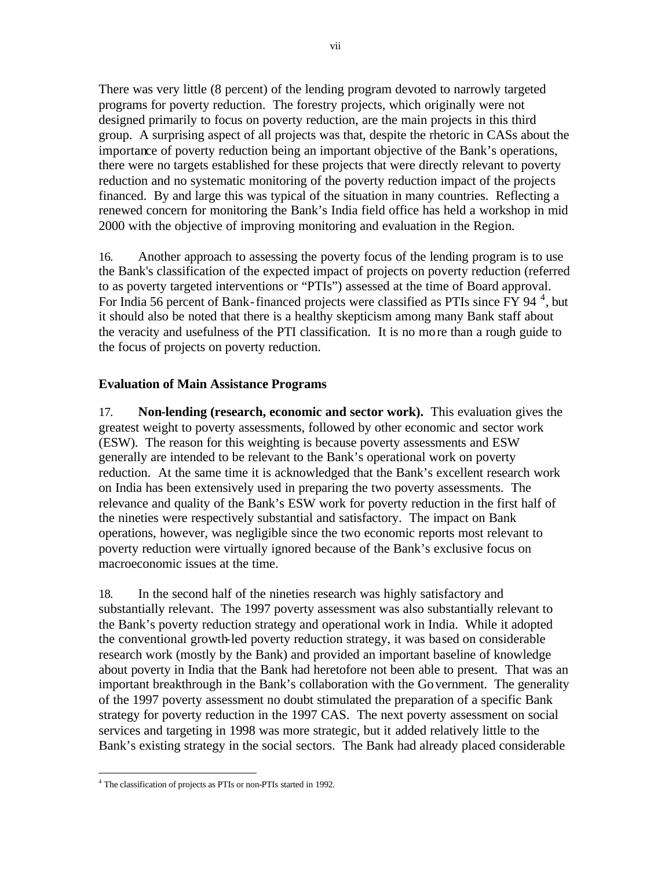There was very little (8 percent) of the lending program devoted to narrowly targeted programs for poverty reduction. The forestry projects, which originally were not designed primarily to focus on poverty reduction, are the main projects in this third group. A surprising aspect of all projects was that, despite the rhetoric in CASs about the importance of poverty reduction being an important objective of the Bank's operations, there were no targets established for these projects that were directly relevant to poverty reduction and no systematic monitoring of the poverty reduction impact of the projects financed. By and large this was typical of the situation in many countries. Reflecting a renewed concern for monitoring the Bank's India field office has held a workshop in mid 2000 with the objective of improving monitoring and evaluation in the Region.

16. Another approach to assessing the poverty focus of the lending program is to use the Bank's classification of the expected impact of projects on poverty reduction (referred to as poverty targeted interventions or "PTIs") assessed at the time of Board approval. For India 56 percent of Bank-financed projects were classified as PTIs since  $\overline{FY}$  94<sup>4</sup>, but it should also be noted that there is a healthy skepticism among many Bank staff about the veracity and usefulness of the PTI classification. It is no more than a rough guide to the focus of projects on poverty reduction.

# **Evaluation of Main Assistance Programs**

17. **Non-lending (research, economic and sector work).** This evaluation gives the greatest weight to poverty assessments, followed by other economic and sector work (ESW). The reason for this weighting is because poverty assessments and ESW generally are intended to be relevant to the Bank's operational work on poverty reduction. At the same time it is acknowledged that the Bank's excellent research work on India has been extensively used in preparing the two poverty assessments. The relevance and quality of the Bank's ESW work for poverty reduction in the first half of the nineties were respectively substantial and satisfactory. The impact on Bank operations, however, was negligible since the two economic reports most relevant to poverty reduction were virtually ignored because of the Bank's exclusive focus on macroeconomic issues at the time.

18. In the second half of the nineties research was highly satisfactory and substantially relevant. The 1997 poverty assessment was also substantially relevant to the Bank's poverty reduction strategy and operational work in India. While it adopted the conventional growth-led poverty reduction strategy, it was based on considerable research work (mostly by the Bank) and provided an important baseline of knowledge about poverty in India that the Bank had heretofore not been able to present. That was an important breakthrough in the Bank's collaboration with the Government. The generality of the 1997 poverty assessment no doubt stimulated the preparation of a specific Bank strategy for poverty reduction in the 1997 CAS. The next poverty assessment on social services and targeting in 1998 was more strategic, but it added relatively little to the Bank's existing strategy in the social sectors. The Bank had already placed considerable

 $\overline{a}$ <sup>4</sup> The classification of projects as PTIs or non-PTIs started in 1992.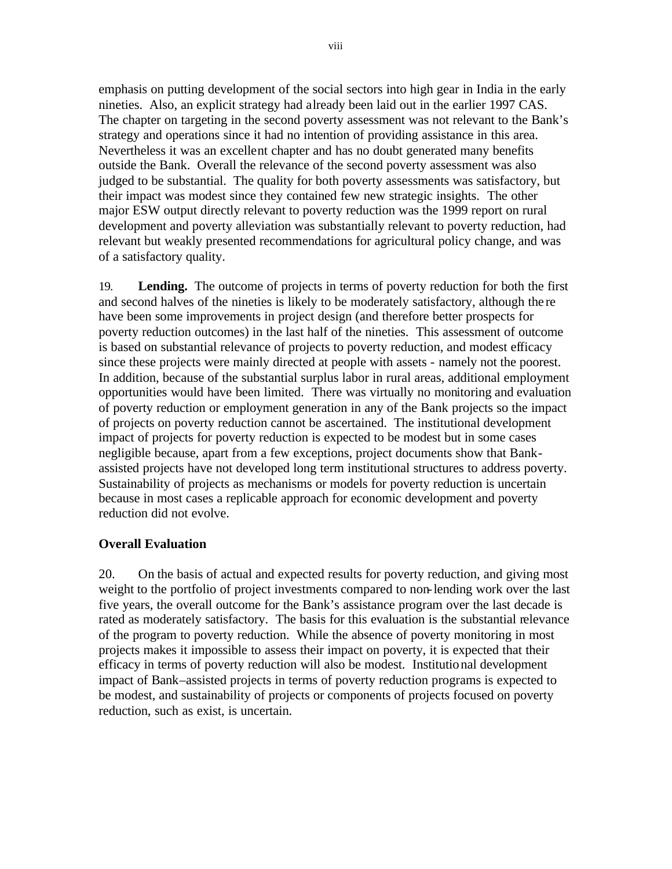emphasis on putting development of the social sectors into high gear in India in the early nineties. Also, an explicit strategy had already been laid out in the earlier 1997 CAS. The chapter on targeting in the second poverty assessment was not relevant to the Bank's strategy and operations since it had no intention of providing assistance in this area. Nevertheless it was an excellent chapter and has no doubt generated many benefits outside the Bank. Overall the relevance of the second poverty assessment was also judged to be substantial. The quality for both poverty assessments was satisfactory, but their impact was modest since they contained few new strategic insights. The other major ESW output directly relevant to poverty reduction was the 1999 report on rural development and poverty alleviation was substantially relevant to poverty reduction, had relevant but weakly presented recommendations for agricultural policy change, and was of a satisfactory quality.

19. **Lending.** The outcome of projects in terms of poverty reduction for both the first and second halves of the nineties is likely to be moderately satisfactory, although the re have been some improvements in project design (and therefore better prospects for poverty reduction outcomes) in the last half of the nineties. This assessment of outcome is based on substantial relevance of projects to poverty reduction, and modest efficacy since these projects were mainly directed at people with assets - namely not the poorest. In addition, because of the substantial surplus labor in rural areas, additional employment opportunities would have been limited. There was virtually no monitoring and evaluation of poverty reduction or employment generation in any of the Bank projects so the impact of projects on poverty reduction cannot be ascertained. The institutional development impact of projects for poverty reduction is expected to be modest but in some cases negligible because, apart from a few exceptions, project documents show that Bankassisted projects have not developed long term institutional structures to address poverty. Sustainability of projects as mechanisms or models for poverty reduction is uncertain because in most cases a replicable approach for economic development and poverty reduction did not evolve.

# **Overall Evaluation**

20. On the basis of actual and expected results for poverty reduction, and giving most weight to the portfolio of project investments compared to non-lending work over the last five years, the overall outcome for the Bank's assistance program over the last decade is rated as moderately satisfactory. The basis for this evaluation is the substantial relevance of the program to poverty reduction. While the absence of poverty monitoring in most projects makes it impossible to assess their impact on poverty, it is expected that their efficacy in terms of poverty reduction will also be modest. Institutional development impact of Bank–assisted projects in terms of poverty reduction programs is expected to be modest, and sustainability of projects or components of projects focused on poverty reduction, such as exist, is uncertain.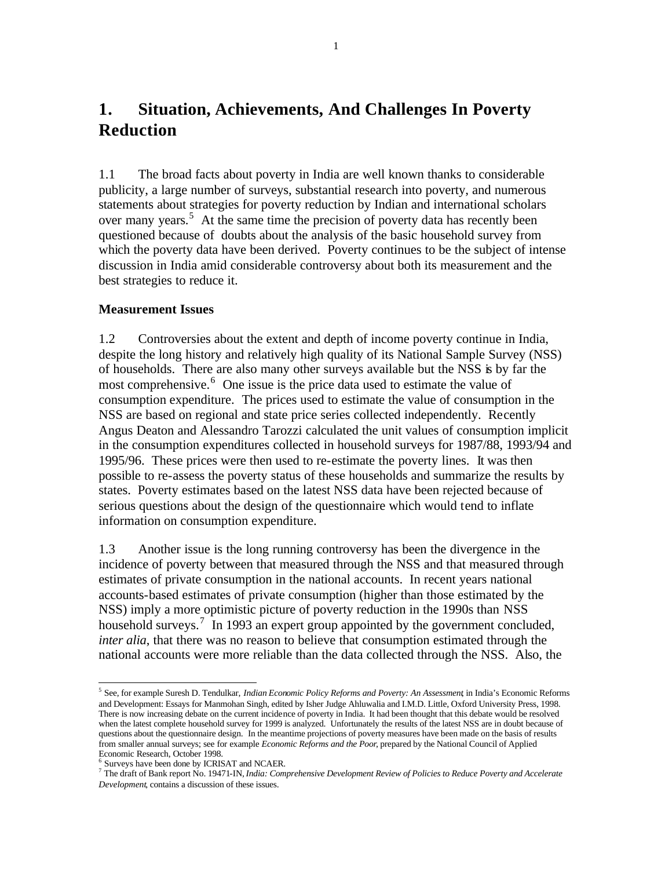# **1. Situation, Achievements, And Challenges In Poverty Reduction**

1.1 The broad facts about poverty in India are well known thanks to considerable publicity, a large number of surveys, substantial research into poverty, and numerous statements about strategies for poverty reduction by Indian and international scholars over many years.<sup>5</sup> At the same time the precision of poverty data has recently been questioned because of doubts about the analysis of the basic household survey from which the poverty data have been derived. Poverty continues to be the subject of intense discussion in India amid considerable controversy about both its measurement and the best strategies to reduce it.

### **Measurement Issues**

1.2 Controversies about the extent and depth of income poverty continue in India, despite the long history and relatively high quality of its National Sample Survey (NSS) of households. There are also many other surveys available but the NSS is by far the most comprehensive.<sup>6</sup> One issue is the price data used to estimate the value of consumption expenditure. The prices used to estimate the value of consumption in the NSS are based on regional and state price series collected independently. Recently Angus Deaton and Alessandro Tarozzi calculated the unit values of consumption implicit in the consumption expenditures collected in household surveys for 1987/88, 1993/94 and 1995/96. These prices were then used to re-estimate the poverty lines. It was then possible to re-assess the poverty status of these households and summarize the results by states. Poverty estimates based on the latest NSS data have been rejected because of serious questions about the design of the questionnaire which would tend to inflate information on consumption expenditure.

1.3 Another issue is the long running controversy has been the divergence in the incidence of poverty between that measured through the NSS and that measured through estimates of private consumption in the national accounts. In recent years national accounts-based estimates of private consumption (higher than those estimated by the NSS) imply a more optimistic picture of poverty reduction in the 1990s than NSS household surveys.<sup>7</sup> In 1993 an expert group appointed by the government concluded, *inter alia*, that there was no reason to believe that consumption estimated through the national accounts were more reliable than the data collected through the NSS. Also, the

 5 See, for example Suresh D. Tendulkar, *Indian Economic Policy Reforms and Poverty: An Assessment*, in India's Economic Reforms and Development: Essays for Manmohan Singh, edited by Isher Judge Ahluwalia and I.M.D. Little, Oxford University Press, 1998. There is now increasing debate on the current incidence of poverty in India. It had been thought that this debate would be resolved when the latest complete household survey for 1999 is analyzed. Unfortunately the results of the latest NSS are in doubt because of questions about the questionnaire design. In the meantime projections of poverty measures have been made on the basis of results from smaller annual surveys; see for example *Economic Reforms and the Poor*, prepared by the National Council of Applied Economic Research, October 1998.

<sup>6</sup> Surveys have been done by ICRISAT and NCAER.

<sup>7</sup> The draft of Bank report No. 19471-IN, *India: Comprehensive Development Review of Policies to Reduce Poverty and Accelerate Development*, contains a discussion of these issues.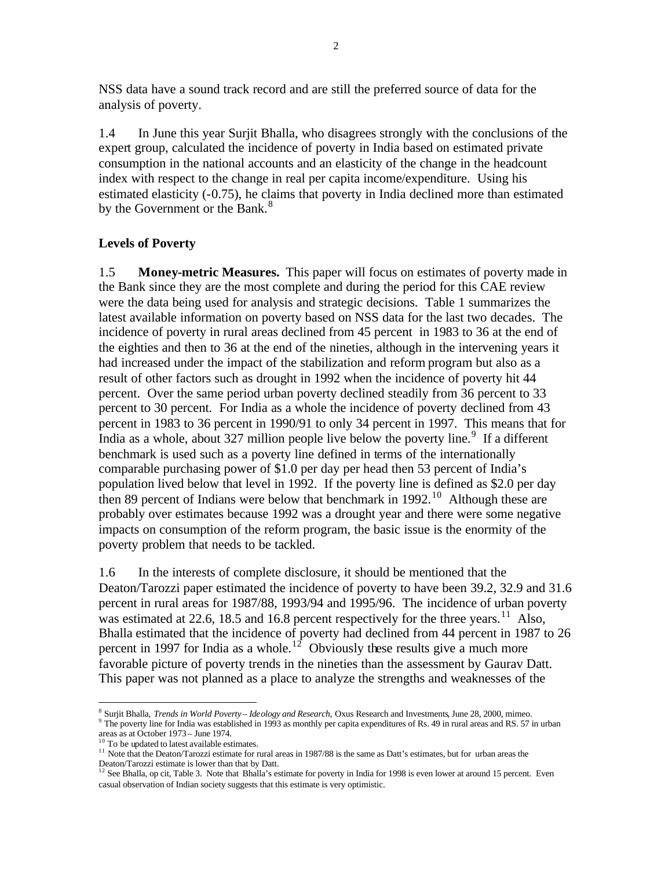NSS data have a sound track record and are still the preferred source of data for the analysis of poverty.

1.4 In June this year Surjit Bhalla, who disagrees strongly with the conclusions of the expert group, calculated the incidence of poverty in India based on estimated private consumption in the national accounts and an elasticity of the change in the headcount index with respect to the change in real per capita income/expenditure. Using his estimated elasticity (-0.75), he claims that poverty in India declined more than estimated by the Government or the Bank.<sup>8</sup>

### **Levels of Poverty**

1.5 **Money-metric Measures.** This paper will focus on estimates of poverty made in the Bank since they are the most complete and during the period for this CAE review were the data being used for analysis and strategic decisions. Table 1 summarizes the latest available information on poverty based on NSS data for the last two decades. The incidence of poverty in rural areas declined from 45 percent in 1983 to 36 at the end of the eighties and then to 36 at the end of the nineties, although in the intervening years it had increased under the impact of the stabilization and reform program but also as a result of other factors such as drought in 1992 when the incidence of poverty hit 44 percent. Over the same period urban poverty declined steadily from 36 percent to 33 percent to 30 percent. For India as a whole the incidence of poverty declined from 43 percent in 1983 to 36 percent in 1990/91 to only 34 percent in 1997. This means that for India as a whole, about 327 million people live below the poverty line.<sup>9</sup> If a different benchmark is used such as a poverty line defined in terms of the internationally comparable purchasing power of \$1.0 per day per head then 53 percent of India's population lived below that level in 1992. If the poverty line is defined as \$2.0 per day then 89 percent of Indians were below that benchmark in 1992.<sup>10</sup> Although these are probably over estimates because 1992 was a drought year and there were some negative impacts on consumption of the reform program, the basic issue is the enormity of the poverty problem that needs to be tackled.

1.6 In the interests of complete disclosure, it should be mentioned that the Deaton/Tarozzi paper estimated the incidence of poverty to have been 39.2, 32.9 and 31.6 percent in rural areas for 1987/88, 1993/94 and 1995/96. The incidence of urban poverty was estimated at 22.6, 18.5 and 16.8 percent respectively for the three years.<sup>11</sup> Also, Bhalla estimated that the incidence of poverty had declined from 44 percent in 1987 to 26 percent in 1997 for India as a whole.<sup>12</sup> Obviously these results give a much more favorable picture of poverty trends in the nineties than the assessment by Gaurav Datt. This paper was not planned as a place to analyze the strengths and weaknesses of the

<sup>8</sup> Surjit Bhalla, *Trends in World Poverty – Ideology and Research,* Oxus Research and Investments*,* June 28, 2000, mimeo. 9 The poverty line for India was established in 1993 as monthly per capita expenditures of Rs. 49 in rural areas and RS. 57 in urban areas as at October 1973 – June 1974.

 $10$  To be updated to latest available estimates.

<sup>&</sup>lt;sup>11</sup> Note that the Deaton/Tarozzi estimate for rural areas in 1987/88 is the same as Datt's estimates, but for urban areas the

Deaton/Tarozzi estimate is lower than that by Datt.<br><sup>12</sup> See Bhalla, op cit, Table 3. Note that Bhalla's estimate for poverty in India for 1998 is even lower at around 15 percent. Even casual observation of Indian society suggests that this estimate is very optimistic.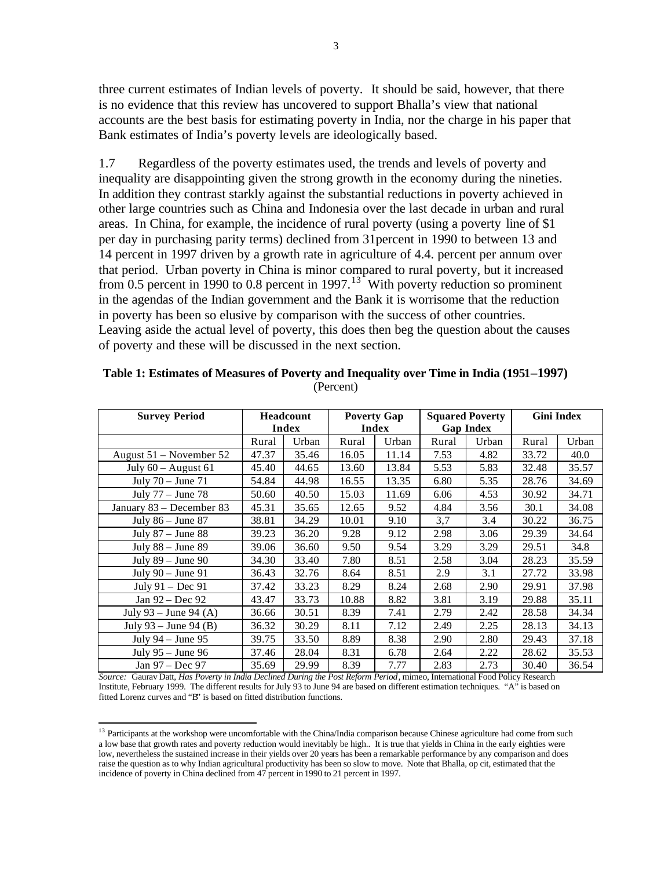three current estimates of Indian levels of poverty. It should be said, however, that there is no evidence that this review has uncovered to support Bhalla's view that national accounts are the best basis for estimating poverty in India, nor the charge in his paper that Bank estimates of India's poverty levels are ideologically based.

1.7 Regardless of the poverty estimates used, the trends and levels of poverty and inequality are disappointing given the strong growth in the economy during the nineties. In addition they contrast starkly against the substantial reductions in poverty achieved in other large countries such as China and Indonesia over the last decade in urban and rural areas. In China, for example, the incidence of rural poverty (using a poverty line of \$1 per day in purchasing parity terms) declined from 31percent in 1990 to between 13 and 14 percent in 1997 driven by a growth rate in agriculture of 4.4. percent per annum over that period. Urban poverty in China is minor compared to rural poverty, but it increased from 0.5 percent in 1990 to 0.8 percent in 1997.<sup>13</sup> With poverty reduction so prominent in the agendas of the Indian government and the Bank it is worrisome that the reduction in poverty has been so elusive by comparison with the success of other countries. Leaving aside the actual level of poverty, this does then beg the question about the causes of poverty and these will be discussed in the next section.

| <b>Survey Period</b>      | <b>Headcount</b><br>Index |       | <b>Poverty Gap</b><br>Index |       | <b>Squared Poverty</b><br><b>Gap Index</b> |       | <b>Gini Index</b> |       |
|---------------------------|---------------------------|-------|-----------------------------|-------|--------------------------------------------|-------|-------------------|-------|
|                           | Rural                     | Urban | Rural                       | Urban | Rural                                      | Urban | Rural             | Urban |
| August $51$ – November 52 | 47.37                     | 35.46 | 16.05                       | 11.14 | 7.53                                       | 4.82  | 33.72             | 40.0  |
| July $60 -$ August $61$   | 45.40                     | 44.65 | 13.60                       | 13.84 | 5.53                                       | 5.83  | 32.48             | 35.57 |
| July $70 -$ June $71$     | 54.84                     | 44.98 | 16.55                       | 13.35 | 6.80                                       | 5.35  | 28.76             | 34.69 |
| July $77 -$ June $78$     | 50.60                     | 40.50 | 15.03                       | 11.69 | 6.06                                       | 4.53  | 30.92             | 34.71 |
| January 83 – December 83  | 45.31                     | 35.65 | 12.65                       | 9.52  | 4.84                                       | 3.56  | 30.1              | 34.08 |
| July $86 -$ June $87$     | 38.81                     | 34.29 | 10.01                       | 9.10  | 3,7                                        | 3.4   | 30.22             | 36.75 |
| July $87 -$ June $88$     | 39.23                     | 36.20 | 9.28                        | 9.12  | 2.98                                       | 3.06  | 29.39             | 34.64 |
| July $88 -$ June $89$     | 39.06                     | 36.60 | 9.50                        | 9.54  | 3.29                                       | 3.29  | 29.51             | 34.8  |
| July 89 - June 90         | 34.30                     | 33.40 | 7.80                        | 8.51  | 2.58                                       | 3.04  | 28.23             | 35.59 |
| July $90 -$ June $91$     | 36.43                     | 32.76 | 8.64                        | 8.51  | 2.9                                        | 3.1   | 27.72             | 33.98 |
| July $91 - Dec 91$        | 37.42                     | 33.23 | 8.29                        | 8.24  | 2.68                                       | 2.90  | 29.91             | 37.98 |
| Jan 92 – Dec 92           | 43.47                     | 33.73 | 10.88                       | 8.82  | 3.81                                       | 3.19  | 29.88             | 35.11 |
| July 93 – June 94 (A)     | 36.66                     | 30.51 | 8.39                        | 7.41  | 2.79                                       | 2.42  | 28.58             | 34.34 |
| July 93 – June 94 (B)     | 36.32                     | 30.29 | 8.11                        | 7.12  | 2.49                                       | 2.25  | 28.13             | 34.13 |
| July $94 -$ June $95$     | 39.75                     | 33.50 | 8.89                        | 8.38  | 2.90                                       | 2.80  | 29.43             | 37.18 |
| July 95 - June 96         | 37.46                     | 28.04 | 8.31                        | 6.78  | 2.64                                       | 2.22  | 28.62             | 35.53 |
| Jan 97 - Dec 97           | 35.69                     | 29.99 | 8.39                        | 7.77  | 2.83                                       | 2.73  | 30.40             | 36.54 |

**Table 1: Estimates of Measures of Poverty and Inequality over Time in India (1951–1997)** (Percent)

*Source:* Gaurav Datt, *Has Poverty in India Declined During the Post Reform Period*, mimeo, International Food Policy Research Institute, February 1999. The different results for July 93 to June 94 are based on different estimation techniques. "A" is based on fitted Lorenz curves and "B" is based on fitted distribution functions.

 $13$  Participants at the workshop were uncomfortable with the China/India comparison because Chinese agriculture had come from such a low base that growth rates and poverty reduction would inevitably be high.. It is true that yields in China in the early eighties were low, nevertheless the sustained increase in their yields over 20 years has been a remarkable performance by any comparison and does raise the question as to why Indian agricultural productivity has been so slow to move. Note that Bhalla, op cit, estimated that the incidence of poverty in China declined from 47 percent in 1990 to 21 percent in 1997.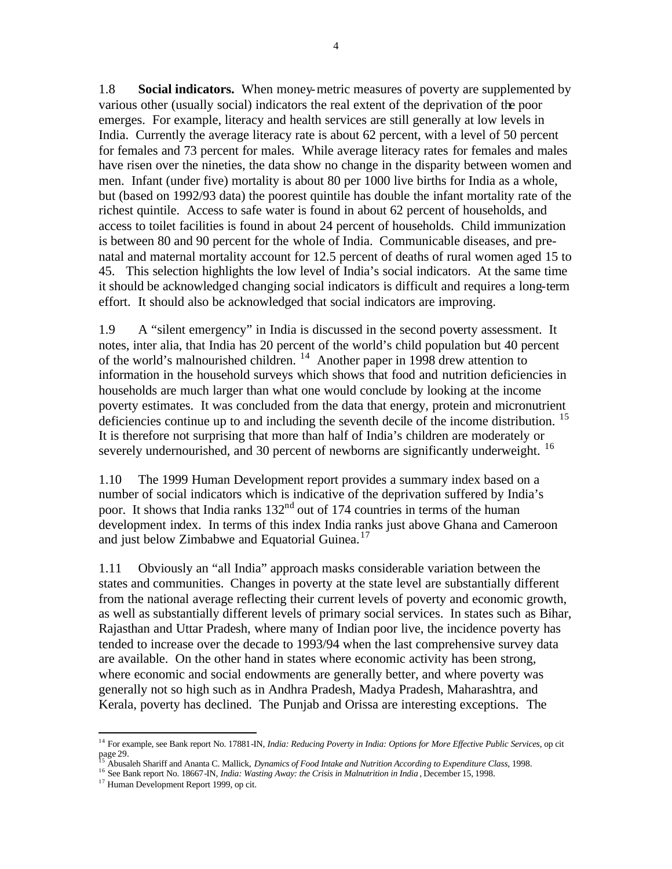1.8 **Social indicators.** When money-metric measures of poverty are supplemented by various other (usually social) indicators the real extent of the deprivation of the poor emerges. For example, literacy and health services are still generally at low levels in India. Currently the average literacy rate is about 62 percent, with a level of 50 percent for females and 73 percent for males. While average literacy rates for females and males have risen over the nineties, the data show no change in the disparity between women and men. Infant (under five) mortality is about 80 per 1000 live births for India as a whole, but (based on 1992/93 data) the poorest quintile has double the infant mortality rate of the richest quintile. Access to safe water is found in about 62 percent of households, and access to toilet facilities is found in about 24 percent of households. Child immunization is between 80 and 90 percent for the whole of India. Communicable diseases, and prenatal and maternal mortality account for 12.5 percent of deaths of rural women aged 15 to 45. This selection highlights the low level of India's social indicators. At the same time it should be acknowledged changing social indicators is difficult and requires a long-term effort. It should also be acknowledged that social indicators are improving.

1.9 A "silent emergency" in India is discussed in the second poverty assessment. It notes, inter alia, that India has 20 percent of the world's child population but 40 percent of the world's malnourished children. <sup>14</sup> Another paper in 1998 drew attention to information in the household surveys which shows that food and nutrition deficiencies in households are much larger than what one would conclude by looking at the income poverty estimates. It was concluded from the data that energy, protein and micronutrient deficiencies continue up to and including the seventh decile of the income distribution. <sup>15</sup> It is therefore not surprising that more than half of India's children are moderately or severely undernourished, and 30 percent of newborns are significantly underweight. <sup>16</sup>

1.10 The 1999 Human Development report provides a summary index based on a number of social indicators which is indicative of the deprivation suffered by India's poor. It shows that India ranks 132<sup>nd</sup> out of 174 countries in terms of the human development index. In terms of this index India ranks just above Ghana and Cameroon and just below Zimbabwe and Equatorial Guinea.<sup>17</sup>

1.11 Obviously an "all India" approach masks considerable variation between the states and communities. Changes in poverty at the state level are substantially different from the national average reflecting their current levels of poverty and economic growth, as well as substantially different levels of primary social services. In states such as Bihar, Rajasthan and Uttar Pradesh, where many of Indian poor live, the incidence poverty has tended to increase over the decade to 1993/94 when the last comprehensive survey data are available. On the other hand in states where economic activity has been strong, where economic and social endowments are generally better, and where poverty was generally not so high such as in Andhra Pradesh, Madya Pradesh, Maharashtra, and Kerala, poverty has declined. The Punjab and Orissa are interesting exceptions. The

<sup>14</sup> For example, see Bank report No. 17881-IN, *India: Reducing Poverty in India: Options for More Effective Public Services*, op cit page 29.

<sup>15</sup> Abusaleh Shariff and Ananta C. Mallick, *Dynamics of Food Intake and Nutrition According to Expenditure Class*, 1998.

<sup>16</sup> See Bank report No. 18667-IN, *India: Wasting Away: the Crisis in Malnutrition in India* , December 15, 1998.

<sup>&</sup>lt;sup>17</sup> Human Development Report 1999, op cit.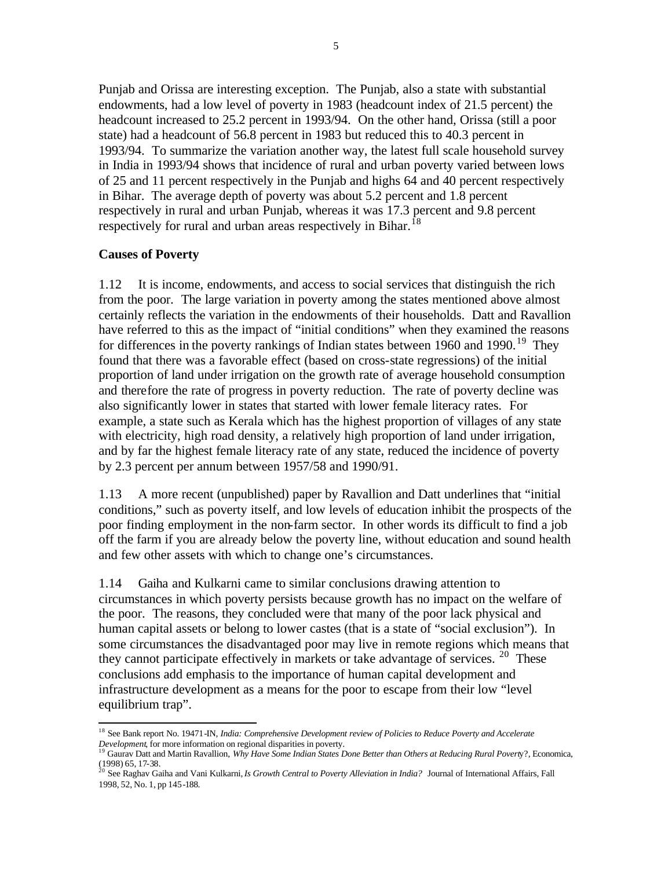Punjab and Orissa are interesting exception. The Punjab, also a state with substantial endowments, had a low level of poverty in 1983 (headcount index of 21.5 percent) the headcount increased to 25.2 percent in 1993/94. On the other hand, Orissa (still a poor state) had a headcount of 56.8 percent in 1983 but reduced this to 40.3 percent in 1993/94. To summarize the variation another way, the latest full scale household survey in India in 1993/94 shows that incidence of rural and urban poverty varied between lows of 25 and 11 percent respectively in the Punjab and highs 64 and 40 percent respectively in Bihar. The average depth of poverty was about 5.2 percent and 1.8 percent respectively in rural and urban Punjab, whereas it was 17.3 percent and 9.8 percent respectively for rural and urban areas respectively in Bihar.<sup>18</sup>

### **Causes of Poverty**

1.12 It is income, endowments, and access to social services that distinguish the rich from the poor. The large variation in poverty among the states mentioned above almost certainly reflects the variation in the endowments of their households. Datt and Ravallion have referred to this as the impact of "initial conditions" when they examined the reasons for differences in the poverty rankings of Indian states between 1960 and 1990.<sup>19</sup> They found that there was a favorable effect (based on cross-state regressions) of the initial proportion of land under irrigation on the growth rate of average household consumption and therefore the rate of progress in poverty reduction. The rate of poverty decline was also significantly lower in states that started with lower female literacy rates. For example, a state such as Kerala which has the highest proportion of villages of any state with electricity, high road density, a relatively high proportion of land under irrigation, and by far the highest female literacy rate of any state, reduced the incidence of poverty by 2.3 percent per annum between 1957/58 and 1990/91.

1.13 A more recent (unpublished) paper by Ravallion and Datt underlines that "initial conditions," such as poverty itself, and low levels of education inhibit the prospects of the poor finding employment in the non-farm sector. In other words its difficult to find a job off the farm if you are already below the poverty line, without education and sound health and few other assets with which to change one's circumstances.

1.14 Gaiha and Kulkarni came to similar conclusions drawing attention to circumstances in which poverty persists because growth has no impact on the welfare of the poor. The reasons, they concluded were that many of the poor lack physical and human capital assets or belong to lower castes (that is a state of "social exclusion"). In some circumstances the disadvantaged poor may live in remote regions which means that they cannot participate effectively in markets or take advantage of services.  $20$  These conclusions add emphasis to the importance of human capital development and infrastructure development as a means for the poor to escape from their low "level equilibrium trap".

 $\overline{a}$ <sup>18</sup> See Bank report No. 19471-IN, *India: Comprehensive Development review of Policies to Reduce Poverty and Accelerate Development*, for more information on regional disparities in poverty. <sup>19</sup> Gaurav Datt and Martin Ravallion, *Why Have Some Indian States Done Better than Others at Reducing Rural Povert*y?*,* Economica,

<sup>(1998) 65, 17-38</sup>*.*  <sup>20</sup> See Raghav Gaiha and Vani Kulkarni, *Is Growth Central to Poverty Alleviation in India?* Journal of International Affairs, Fall

<sup>1998, 52,</sup> No. 1, pp 145-188.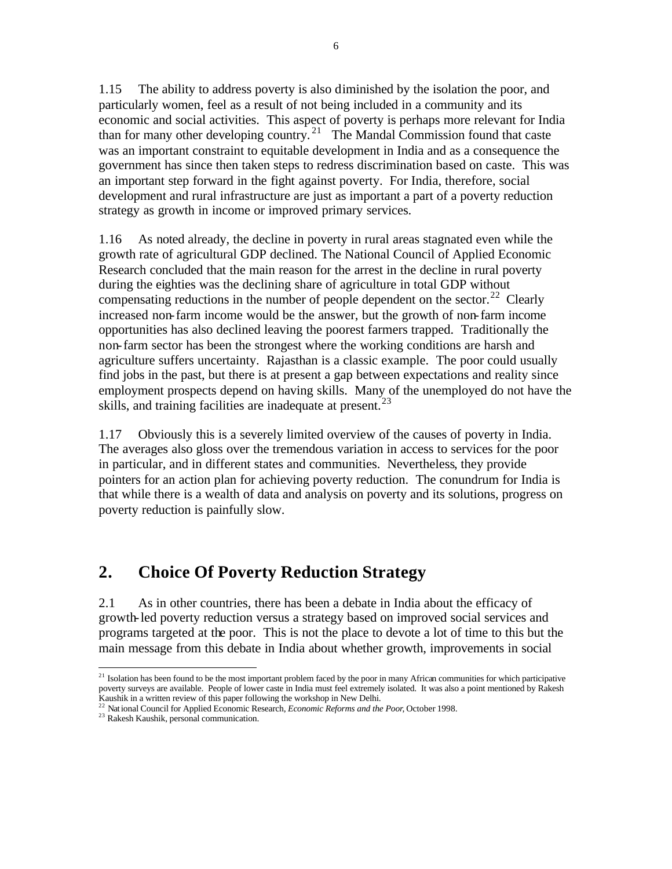1.15 The ability to address poverty is also diminished by the isolation the poor, and particularly women, feel as a result of not being included in a community and its economic and social activities. This aspect of poverty is perhaps more relevant for India than for many other developing country.<sup>21</sup> The Mandal Commission found that caste was an important constraint to equitable development in India and as a consequence the government has since then taken steps to redress discrimination based on caste. This was an important step forward in the fight against poverty. For India, therefore, social development and rural infrastructure are just as important a part of a poverty reduction strategy as growth in income or improved primary services.

1.16 As noted already, the decline in poverty in rural areas stagnated even while the growth rate of agricultural GDP declined. The National Council of Applied Economic Research concluded that the main reason for the arrest in the decline in rural poverty during the eighties was the declining share of agriculture in total GDP without compensating reductions in the number of people dependent on the sector.<sup>22</sup> Clearly increased non-farm income would be the answer, but the growth of non-farm income opportunities has also declined leaving the poorest farmers trapped. Traditionally the non-farm sector has been the strongest where the working conditions are harsh and agriculture suffers uncertainty. Rajasthan is a classic example. The poor could usually find jobs in the past, but there is at present a gap between expectations and reality since employment prospects depend on having skills. Many of the unemployed do not have the skills, and training facilities are inadequate at present.<sup>23</sup>

1.17 Obviously this is a severely limited overview of the causes of poverty in India. The averages also gloss over the tremendous variation in access to services for the poor in particular, and in different states and communities. Nevertheless, they provide pointers for an action plan for achieving poverty reduction. The conundrum for India is that while there is a wealth of data and analysis on poverty and its solutions, progress on poverty reduction is painfully slow.

# **2. Choice Of Poverty Reduction Strategy**

2.1 As in other countries, there has been a debate in India about the efficacy of growth-led poverty reduction versus a strategy based on improved social services and programs targeted at the poor. This is not the place to devote a lot of time to this but the main message from this debate in India about whether growth, improvements in social

 $\overline{a}$  $2<sup>1</sup>$  Isolation has been found to be the most important problem faced by the poor in many African communities for which participative poverty surveys are available. People of lower caste in India must feel extremely isolated. It was also a point mentioned by Rakesh Kaushik in a written review of this paper following the workshop in New Delhi.

<sup>&</sup>lt;sup>22</sup> National Council for Applied Economic Research, *Economic Reforms and the Poor*, October 1998.

<sup>&</sup>lt;sup>23</sup> Rakesh Kaushik, personal communication.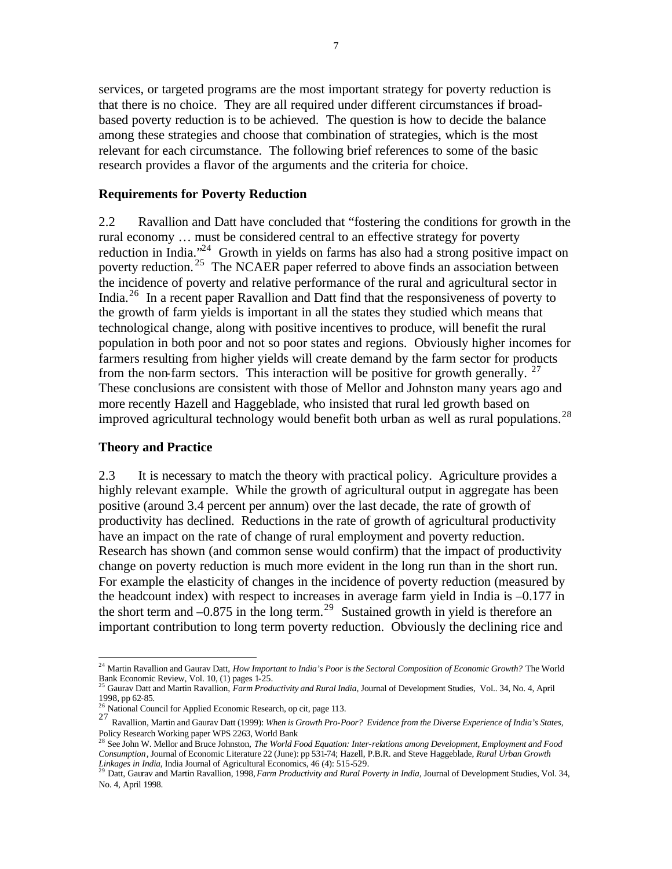services, or targeted programs are the most important strategy for poverty reduction is that there is no choice. They are all required under different circumstances if broadbased poverty reduction is to be achieved. The question is how to decide the balance among these strategies and choose that combination of strategies, which is the most relevant for each circumstance. The following brief references to some of the basic research provides a flavor of the arguments and the criteria for choice.

#### **Requirements for Poverty Reduction**

2.2 Ravallion and Datt have concluded that "fostering the conditions for growth in the rural economy … must be considered central to an effective strategy for poverty reduction in India.<sup>324</sup> Growth in yields on farms has also had a strong positive impact on poverty reduction. <sup>25</sup> The NCAER paper referred to above finds an association between the incidence of poverty and relative performance of the rural and agricultural sector in India.<sup>26</sup> In a recent paper Ravallion and Datt find that the responsiveness of poverty to the growth of farm yields is important in all the states they studied which means that technological change, along with positive incentives to produce, will benefit the rural population in both poor and not so poor states and regions. Obviously higher incomes for farmers resulting from higher yields will create demand by the farm sector for products from the non-farm sectors. This interaction will be positive for growth generally.  $2^7$ These conclusions are consistent with those of Mellor and Johnston many years ago and more recently Hazell and Haggeblade, who insisted that rural led growth based on improved agricultural technology would benefit both urban as well as rural populations.<sup>28</sup>

#### **Theory and Practice**

 $\overline{a}$ 

2.3 It is necessary to match the theory with practical policy. Agriculture provides a highly relevant example. While the growth of agricultural output in aggregate has been positive (around 3.4 percent per annum) over the last decade, the rate of growth of productivity has declined. Reductions in the rate of growth of agricultural productivity have an impact on the rate of change of rural employment and poverty reduction. Research has shown (and common sense would confirm) that the impact of productivity change on poverty reduction is much more evident in the long run than in the short run. For example the elasticity of changes in the incidence of poverty reduction (measured by the headcount index) with respect to increases in average farm yield in India is –0.177 in the short term and  $-0.875$  in the long term.<sup>29</sup> Sustained growth in yield is therefore an important contribution to long term poverty reduction. Obviously the declining rice and

<sup>&</sup>lt;sup>24</sup> Martin Ravallion and Gaurav Datt, *How Important to India's Poor is the Sectoral Composition of Economic Growth?* The World Bank Economic Review, Vol. 10, (1) pages 1-25. <sup>25</sup> Gaurav Datt and Martin Ravallion, *Farm Productivity and Rural India,* Journal of Development Studies, Vol.. 34, No. 4, April

<sup>1998,</sup> pp 62-85.

<sup>&</sup>lt;sup>26</sup> National Council for Applied Economic Research, op cit, page 113.

<sup>27</sup> Ravallion, Martin and Gaurav Datt (1999): *When is Growth Pro-Poor? Evidence from the Diverse Experience of India's States*, Policy Research Working paper WPS 2263, World Bank

<sup>&</sup>lt;sup>28</sup> See John W. Mellor and Bruce Johnston, *The World Food Equation: Inter-relations among Development, Employment and Food Consumption*, Journal of Economic Literature 22 (June): pp 531-74; Hazell, P.B.R. and Steve Haggeblade, *Rural Urban Growth Linkages in India*, India Journal of Agricultural Economics, 46 (4): 515-529. <sup>29</sup> Datt, Gaurav and Martin Ravallion, 1998, *Farm Productivity and Rural Poverty in India,* Journal of Development Studies, Vol. 34,

No. 4, April 1998.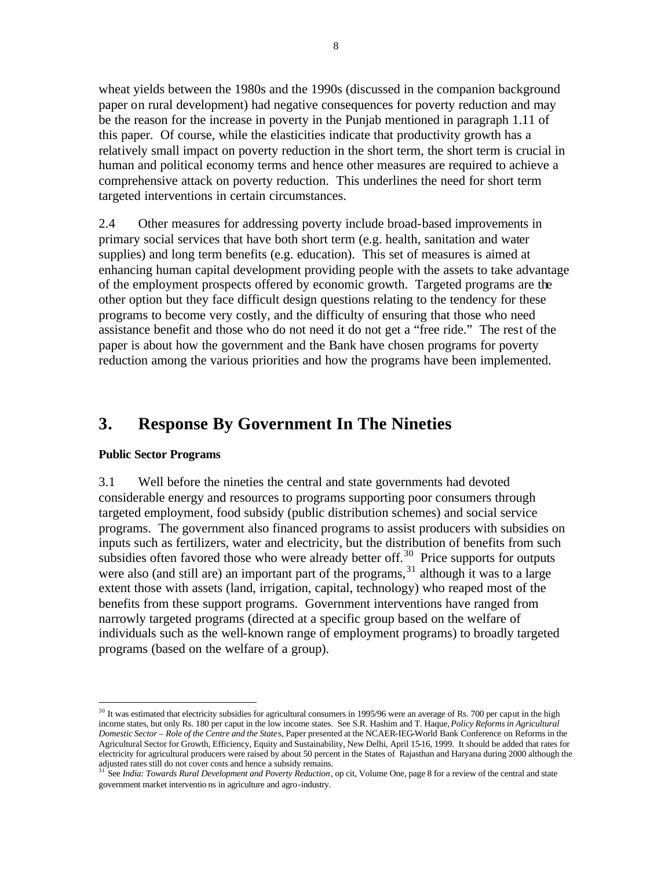wheat yields between the 1980s and the 1990s (discussed in the companion background paper on rural development) had negative consequences for poverty reduction and may be the reason for the increase in poverty in the Punjab mentioned in paragraph 1.11 of this paper. Of course, while the elasticities indicate that productivity growth has a relatively small impact on poverty reduction in the short term, the short term is crucial in human and political economy terms and hence other measures are required to achieve a comprehensive attack on poverty reduction. This underlines the need for short term targeted interventions in certain circumstances.

2.4 Other measures for addressing poverty include broad-based improvements in primary social services that have both short term (e.g. health, sanitation and water supplies) and long term benefits (e.g. education). This set of measures is aimed at enhancing human capital development providing people with the assets to take advantage of the employment prospects offered by economic growth. Targeted programs are the other option but they face difficult design questions relating to the tendency for these programs to become very costly, and the difficulty of ensuring that those who need assistance benefit and those who do not need it do not get a "free ride." The rest of the paper is about how the government and the Bank have chosen programs for poverty reduction among the various priorities and how the programs have been implemented.

# **3. Response By Government In The Nineties**

### **Public Sector Programs**

 $\overline{a}$ 

3.1 Well before the nineties the central and state governments had devoted considerable energy and resources to programs supporting poor consumers through targeted employment, food subsidy (public distribution schemes) and social service programs. The government also financed programs to assist producers with subsidies on inputs such as fertilizers, water and electricity, but the distribution of benefits from such subsidies often favored those who were already better off.<sup>30</sup> Price supports for outputs were also (and still are) an important part of the programs,  $31$  although it was to a large extent those with assets (land, irrigation, capital, technology) who reaped most of the benefits from these support programs. Government interventions have ranged from narrowly targeted programs (directed at a specific group based on the welfare of individuals such as the well-known range of employment programs) to broadly targeted programs (based on the welfare of a group).

 $30$  It was estimated that electricity subsidies for agricultural consumers in 1995/96 were an average of Rs. 700 per caput in the high income states, but only Rs. 180 per caput in the low income states. See S.R. Hashim and T. Haque, *Policy Reforms in Agricultural Domestic Sector – Role of the Centre and the State*s, Paper presented at the NCAER-IEG-World Bank Conference on Reforms in the Agricultural Sector for Growth, Efficiency, Equity and Sustainability, New Delhi, April 15-16, 1999. It should be added that rates for electricity for agricultural producers were raised by about 50 percent in the States of Rajasthan and Haryana during 2000 although the adjusted rates still do not cover costs and hence a subsidy remains. <sup>31</sup> See *India: Towards Rural Development and Poverty Reduction*, op cit, Volume One, page 8 for a review of the central and state

government market interventio ns in agriculture and agro-industry.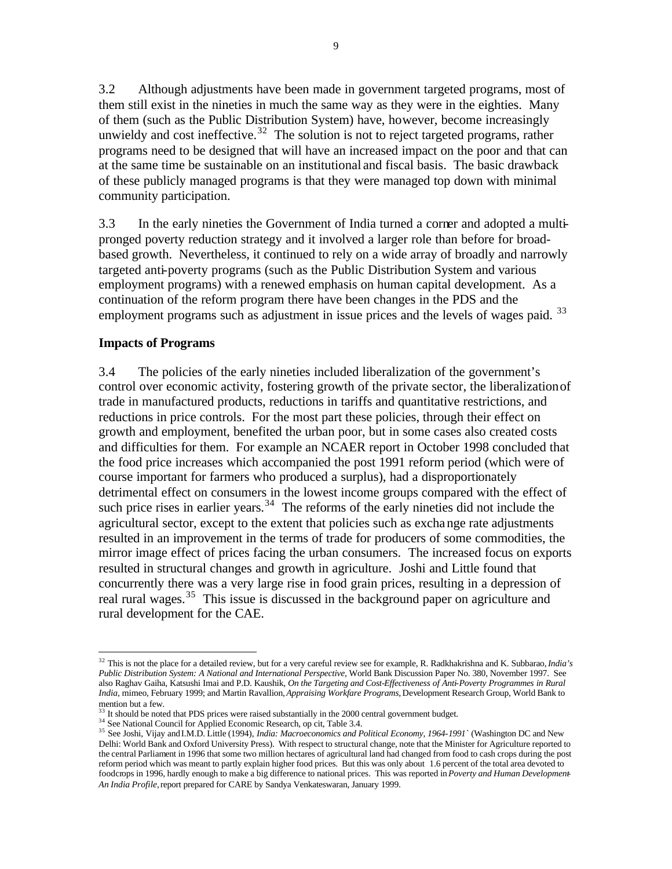3.2 Although adjustments have been made in government targeted programs, most of them still exist in the nineties in much the same way as they were in the eighties. Many of them (such as the Public Distribution System) have, however, become increasingly unwieldy and cost ineffective.<sup>32</sup> The solution is not to reject targeted programs, rather programs need to be designed that will have an increased impact on the poor and that can at the same time be sustainable on an institutional and fiscal basis. The basic drawback of these publicly managed programs is that they were managed top down with minimal community participation.

3.3 In the early nineties the Government of India turned a corner and adopted a multipronged poverty reduction strategy and it involved a larger role than before for broadbased growth. Nevertheless, it continued to rely on a wide array of broadly and narrowly targeted anti-poverty programs (such as the Public Distribution System and various employment programs) with a renewed emphasis on human capital development. As a continuation of the reform program there have been changes in the PDS and the employment programs such as adjustment in issue prices and the levels of wages paid. <sup>33</sup>

### **Impacts of Programs**

 $\overline{a}$ 

3.4 The policies of the early nineties included liberalization of the government's control over economic activity, fostering growth of the private sector, the liberalization of trade in manufactured products, reductions in tariffs and quantitative restrictions, and reductions in price controls. For the most part these policies, through their effect on growth and employment, benefited the urban poor, but in some cases also created costs and difficulties for them. For example an NCAER report in October 1998 concluded that the food price increases which accompanied the post 1991 reform period (which were of course important for farmers who produced a surplus), had a disproportionately detrimental effect on consumers in the lowest income groups compared with the effect of such price rises in earlier years.<sup>34</sup> The reforms of the early nineties did not include the agricultural sector, except to the extent that policies such as exchange rate adjustments resulted in an improvement in the terms of trade for producers of some commodities, the mirror image effect of prices facing the urban consumers. The increased focus on exports resulted in structural changes and growth in agriculture. Joshi and Little found that concurrently there was a very large rise in food grain prices, resulting in a depression of real rural wages.<sup>35</sup> This issue is discussed in the background paper on agriculture and rural development for the CAE.

<sup>32</sup> This is not the place for a detailed review, but for a very careful review see for example, R. Radkhakrishna and K. Subbarao, *India's Public Distribution System: A National and International Perspective*, World Bank Discussion Paper No. 380, November 1997. See also Raghav Gaiha, Katsushi Imai and P.D. Kaushik, *On the Targeting and Cost-Effectiveness of Anti-Poverty Programmes in Rural India*, mimeo, February 1999; and Martin Ravallion, *Appraising Workfare Programs,* Development Research Group, World Bank to mention but a few.

It should be noted that PDS prices were raised substantially in the 2000 central government budget.

<sup>&</sup>lt;sup>34</sup> See National Council for Applied Economic Research, op cit, Table 3.4.

<sup>35</sup> See Joshi, Vijay and I.M.D. Little (1994), *India: Macroeconomics and Political Economy, 1964-1991`* (Washington DC and New Delhi: World Bank and Oxford University Press). With respect to structural change, note that the Minister for Agriculture reported to the central Parliament in 1996 that some two million hectares of agricultural land had changed from food to cash crops during the post reform period which was meant to partly explain higher food prices. But this was only about 1.6 percent of the total area devoted to foodcrops in 1996, hardly enough to make a big difference to national prices. This was reported in *Poverty and Human Development-An India Profile,* report prepared for CARE by Sandya Venkateswaran, January 1999.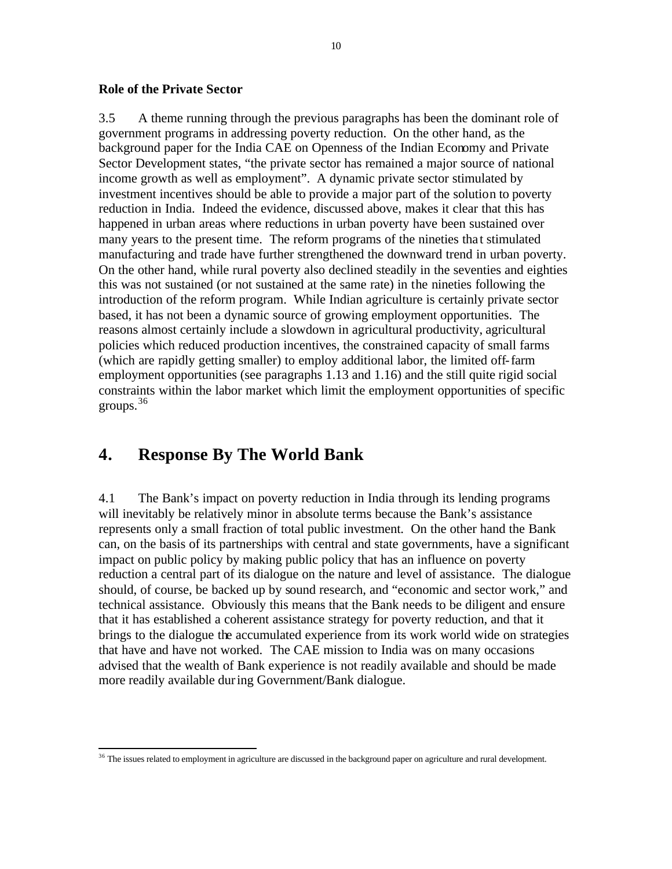### **Role of the Private Sector**

3.5 A theme running through the previous paragraphs has been the dominant role of government programs in addressing poverty reduction. On the other hand, as the background paper for the India CAE on Openness of the Indian Economy and Private Sector Development states, "the private sector has remained a major source of national income growth as well as employment". A dynamic private sector stimulated by investment incentives should be able to provide a major part of the solution to poverty reduction in India. Indeed the evidence, discussed above, makes it clear that this has happened in urban areas where reductions in urban poverty have been sustained over many years to the present time. The reform programs of the nineties tha t stimulated manufacturing and trade have further strengthened the downward trend in urban poverty. On the other hand, while rural poverty also declined steadily in the seventies and eighties this was not sustained (or not sustained at the same rate) in the nineties following the introduction of the reform program. While Indian agriculture is certainly private sector based, it has not been a dynamic source of growing employment opportunities. The reasons almost certainly include a slowdown in agricultural productivity, agricultural policies which reduced production incentives, the constrained capacity of small farms (which are rapidly getting smaller) to employ additional labor, the limited off-farm employment opportunities (see paragraphs 1.13 and 1.16) and the still quite rigid social constraints within the labor market which limit the employment opportunities of specific groups.  $36$ 

# **4. Response By The World Bank**

 $\overline{a}$ 

4.1 The Bank's impact on poverty reduction in India through its lending programs will inevitably be relatively minor in absolute terms because the Bank's assistance represents only a small fraction of total public investment. On the other hand the Bank can, on the basis of its partnerships with central and state governments, have a significant impact on public policy by making public policy that has an influence on poverty reduction a central part of its dialogue on the nature and level of assistance. The dialogue should, of course, be backed up by sound research, and "economic and sector work," and technical assistance. Obviously this means that the Bank needs to be diligent and ensure that it has established a coherent assistance strategy for poverty reduction, and that it brings to the dialogue the accumulated experience from its work world wide on strategies that have and have not worked. The CAE mission to India was on many occasions advised that the wealth of Bank experience is not readily available and should be made more readily available during Government/Bank dialogue.

<sup>&</sup>lt;sup>36</sup> The issues related to employment in agriculture are discussed in the background paper on agriculture and rural development.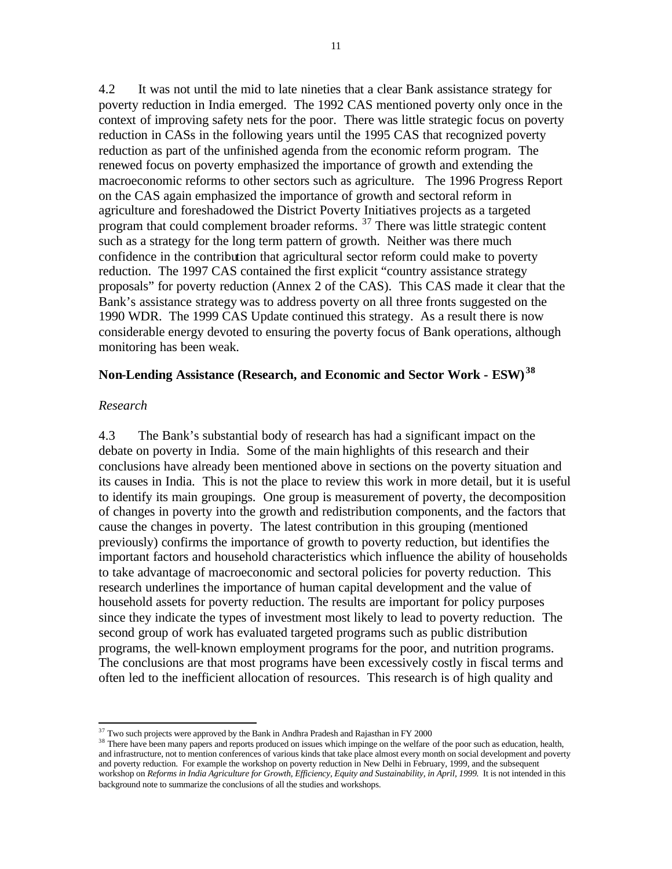4.2 It was not until the mid to late nineties that a clear Bank assistance strategy for poverty reduction in India emerged. The 1992 CAS mentioned poverty only once in the context of improving safety nets for the poor. There was little strategic focus on poverty reduction in CASs in the following years until the 1995 CAS that recognized poverty reduction as part of the unfinished agenda from the economic reform program. The renewed focus on poverty emphasized the importance of growth and extending the macroeconomic reforms to other sectors such as agriculture. The 1996 Progress Report on the CAS again emphasized the importance of growth and sectoral reform in agriculture and foreshadowed the District Poverty Initiatives projects as a targeted program that could complement broader reforms. <sup>37</sup> There was little strategic content such as a strategy for the long term pattern of growth. Neither was there much confidence in the contribution that agricultural sector reform could make to poverty reduction. The 1997 CAS contained the first explicit "country assistance strategy proposals" for poverty reduction (Annex 2 of the CAS). This CAS made it clear that the Bank's assistance strategy was to address poverty on all three fronts suggested on the 1990 WDR. The 1999 CAS Update continued this strategy. As a result there is now considerable energy devoted to ensuring the poverty focus of Bank operations, although monitoring has been weak.

# **Non-Lending Assistance (Research, and Economic and Sector Work - ESW) <sup>38</sup>**

#### *Research*

 $\overline{a}$ 

4.3 The Bank's substantial body of research has had a significant impact on the debate on poverty in India. Some of the main highlights of this research and their conclusions have already been mentioned above in sections on the poverty situation and its causes in India. This is not the place to review this work in more detail, but it is useful to identify its main groupings. One group is measurement of poverty, the decomposition of changes in poverty into the growth and redistribution components, and the factors that cause the changes in poverty. The latest contribution in this grouping (mentioned previously) confirms the importance of growth to poverty reduction, but identifies the important factors and household characteristics which influence the ability of households to take advantage of macroeconomic and sectoral policies for poverty reduction. This research underlines the importance of human capital development and the value of household assets for poverty reduction. The results are important for policy purposes since they indicate the types of investment most likely to lead to poverty reduction. The second group of work has evaluated targeted programs such as public distribution programs, the well-known employment programs for the poor, and nutrition programs. The conclusions are that most programs have been excessively costly in fiscal terms and often led to the inefficient allocation of resources. This research is of high quality and

 $37$  Two such projects were approved by the Bank in Andhra Pradesh and Rajasthan in FY 2000

<sup>&</sup>lt;sup>38</sup> There have been many papers and reports produced on issues which impinge on the welfare of the poor such as education, health, and infrastructure, not to mention conferences of various kinds that take place almost every month on social development and poverty and poverty reduction. For example the workshop on poverty reduction in New Delhi in February, 1999, and the subsequent workshop on *Reforms in India Agriculture for Growth, Efficiency, Equity and Sustainability, in April, 1999.* It is not intended in this background note to summarize the conclusions of all the studies and workshops.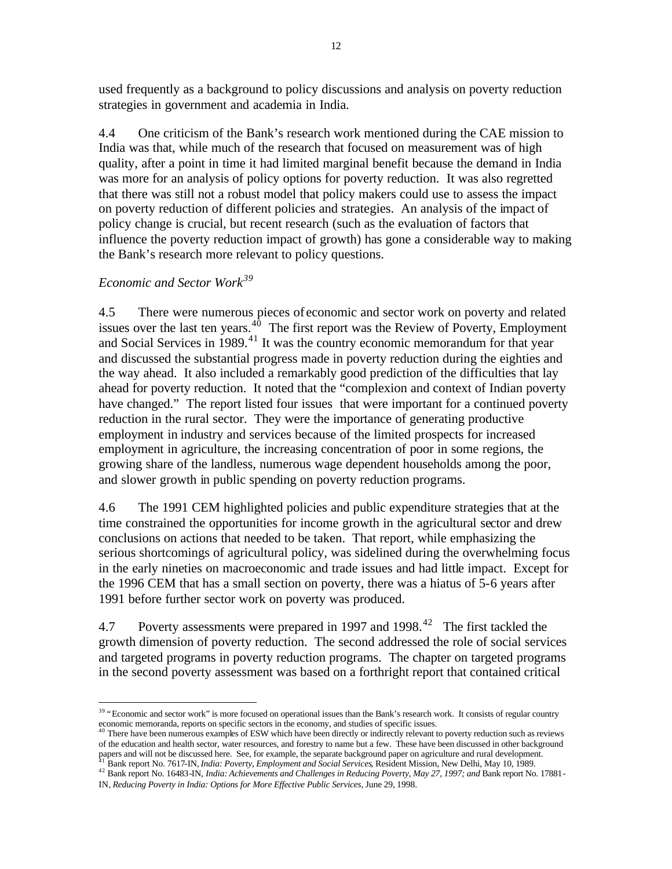used frequently as a background to policy discussions and analysis on poverty reduction strategies in government and academia in India.

4.4 One criticism of the Bank's research work mentioned during the CAE mission to India was that, while much of the research that focused on measurement was of high quality, after a point in time it had limited marginal benefit because the demand in India was more for an analysis of policy options for poverty reduction. It was also regretted that there was still not a robust model that policy makers could use to assess the impact on poverty reduction of different policies and strategies. An analysis of the impact of policy change is crucial, but recent research (such as the evaluation of factors that influence the poverty reduction impact of growth) has gone a considerable way to making the Bank's research more relevant to policy questions.

# *Economic and Sector Work<sup>39</sup>*

 $\overline{a}$ 

4.5 There were numerous pieces of economic and sector work on poverty and related issues over the last ten years. $40$  The first report was the Review of Poverty, Employment and Social Services in 1989. <sup>41</sup> It was the country economic memorandum for that year and discussed the substantial progress made in poverty reduction during the eighties and the way ahead. It also included a remarkably good prediction of the difficulties that lay ahead for poverty reduction. It noted that the "complexion and context of Indian poverty have changed." The report listed four issues that were important for a continued poverty reduction in the rural sector. They were the importance of generating productive employment in industry and services because of the limited prospects for increased employment in agriculture, the increasing concentration of poor in some regions, the growing share of the landless, numerous wage dependent households among the poor, and slower growth in public spending on poverty reduction programs.

4.6 The 1991 CEM highlighted policies and public expenditure strategies that at the time constrained the opportunities for income growth in the agricultural sector and drew conclusions on actions that needed to be taken. That report, while emphasizing the serious shortcomings of agricultural policy, was sidelined during the overwhelming focus in the early nineties on macroeconomic and trade issues and had little impact. Except for the 1996 CEM that has a small section on poverty, there was a hiatus of 5-6 years after 1991 before further sector work on poverty was produced.

4.7 Poverty assessments were prepared in 1997 and 1998.<sup>42</sup> The first tackled the growth dimension of poverty reduction. The second addressed the role of social services and targeted programs in poverty reduction programs. The chapter on targeted programs in the second poverty assessment was based on a forthright report that contained critical

<sup>&</sup>lt;sup>39</sup> "Economic and sector work" is more focused on operational issues than the Bank's research work. It consists of regular country economic memoranda, reports on specific sectors in the economy, and studies of specific issues.<br><sup>40</sup> There have been numerous examples of ESW which have been directly or indirectly relevant to poverty reduction such as rev

of the education and health sector, water resources, and forestry to name but a few. These have been discussed in other background papers and will not be discussed here. See, for example, the separate background paper on agriculture and rural development.

<sup>41</sup> Bank report No. 7617-IN, *India: Poverty, Employment and Social Services*, Resident Mission, New Delhi, May 10, 1989. 42 Bank report No. 16483-IN, *India: Achievements and Challenges in Reducing Poverty, May 27, 1997; and Bank report No. 17881-*

IN, *Reducing Poverty in India: Options for More Effective Public Services*, June 29, 1998.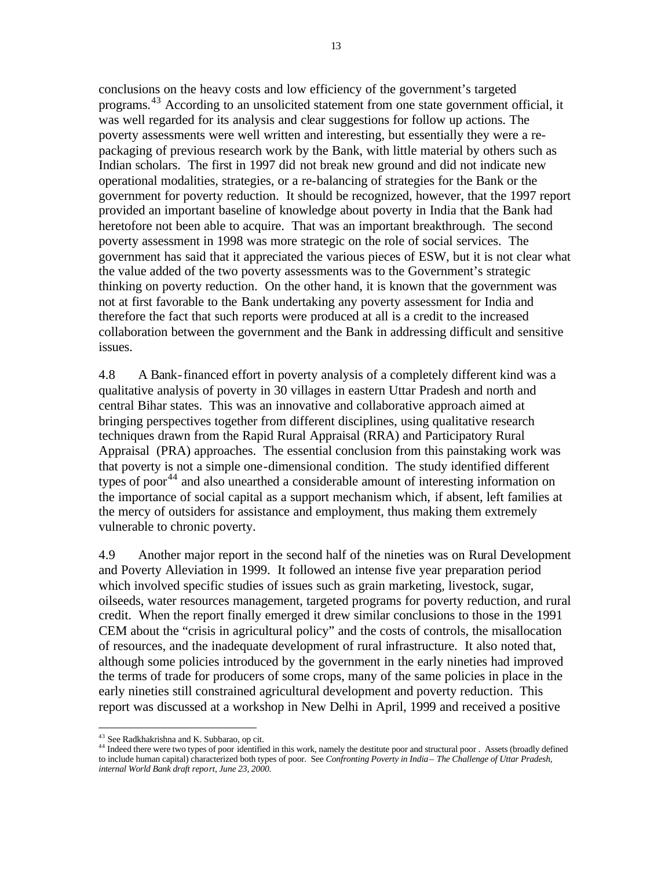conclusions on the heavy costs and low efficiency of the government's targeted programs.<sup>43</sup> According to an unsolicited statement from one state government official, it was well regarded for its analysis and clear suggestions for follow up actions. The poverty assessments were well written and interesting, but essentially they were a repackaging of previous research work by the Bank, with little material by others such as Indian scholars. The first in 1997 did not break new ground and did not indicate new operational modalities, strategies, or a re-balancing of strategies for the Bank or the government for poverty reduction. It should be recognized, however, that the 1997 report provided an important baseline of knowledge about poverty in India that the Bank had heretofore not been able to acquire. That was an important breakthrough. The second poverty assessment in 1998 was more strategic on the role of social services. The government has said that it appreciated the various pieces of ESW, but it is not clear what the value added of the two poverty assessments was to the Government's strategic thinking on poverty reduction. On the other hand, it is known that the government was not at first favorable to the Bank undertaking any poverty assessment for India and therefore the fact that such reports were produced at all is a credit to the increased collaboration between the government and the Bank in addressing difficult and sensitive issues.

4.8 A Bank-financed effort in poverty analysis of a completely different kind was a qualitative analysis of poverty in 30 villages in eastern Uttar Pradesh and north and central Bihar states. This was an innovative and collaborative approach aimed at bringing perspectives together from different disciplines, using qualitative research techniques drawn from the Rapid Rural Appraisal (RRA) and Participatory Rural Appraisal (PRA) approaches. The essential conclusion from this painstaking work was that poverty is not a simple one-dimensional condition. The study identified different types of poor<sup>44</sup> and also unearthed a considerable amount of interesting information on the importance of social capital as a support mechanism which, if absent, left families at the mercy of outsiders for assistance and employment, thus making them extremely vulnerable to chronic poverty.

4.9 Another major report in the second half of the nineties was on Rural Development and Poverty Alleviation in 1999. It followed an intense five year preparation period which involved specific studies of issues such as grain marketing, livestock, sugar, oilseeds, water resources management, targeted programs for poverty reduction, and rural credit. When the report finally emerged it drew similar conclusions to those in the 1991 CEM about the "crisis in agricultural policy" and the costs of controls, the misallocation of resources, and the inadequate development of rural infrastructure. It also noted that, although some policies introduced by the government in the early nineties had improved the terms of trade for producers of some crops, many of the same policies in place in the early nineties still constrained agricultural development and poverty reduction. This report was discussed at a workshop in New Delhi in April, 1999 and received a positive

<sup>&</sup>lt;sup>43</sup> See Radkhakrishna and K. Subbarao, op cit.

<sup>&</sup>lt;sup>44</sup> Indeed there were two types of poor identified in this work, namely the destitute poor and structural poor . Assets (broadly defined to include human capital) characterized both types of poor. See *Confronting Poverty in India – The Challenge of Uttar Pradesh, internal World Bank draft report, June 23, 2000.*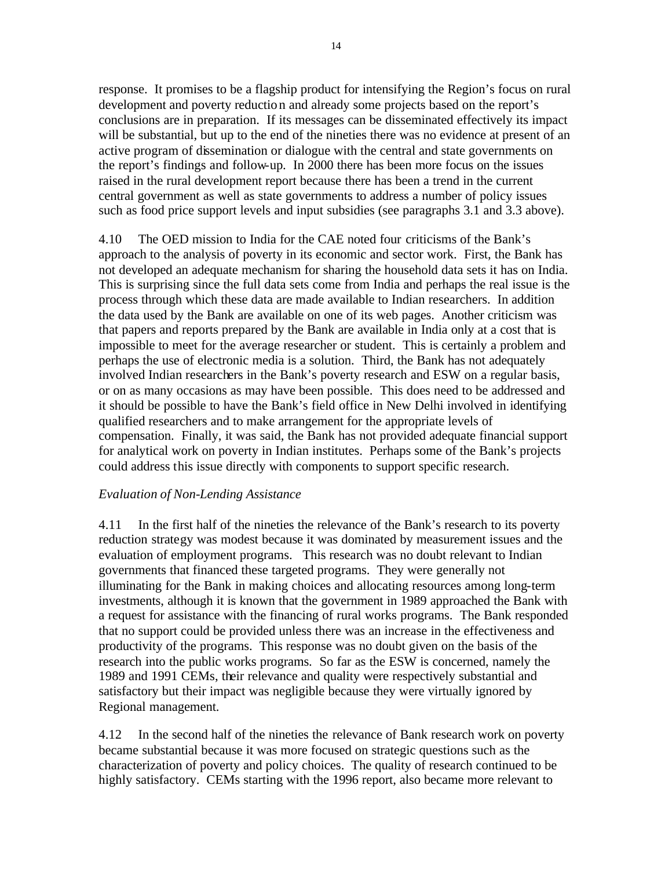response. It promises to be a flagship product for intensifying the Region's focus on rural development and poverty reduction and already some projects based on the report's conclusions are in preparation. If its messages can be disseminated effectively its impact will be substantial, but up to the end of the nineties there was no evidence at present of an active program of dissemination or dialogue with the central and state governments on the report's findings and follow-up. In 2000 there has been more focus on the issues raised in the rural development report because there has been a trend in the current central government as well as state governments to address a number of policy issues such as food price support levels and input subsidies (see paragraphs 3.1 and 3.3 above).

4.10 The OED mission to India for the CAE noted four criticisms of the Bank's approach to the analysis of poverty in its economic and sector work. First, the Bank has not developed an adequate mechanism for sharing the household data sets it has on India. This is surprising since the full data sets come from India and perhaps the real issue is the process through which these data are made available to Indian researchers. In addition the data used by the Bank are available on one of its web pages. Another criticism was that papers and reports prepared by the Bank are available in India only at a cost that is impossible to meet for the average researcher or student. This is certainly a problem and perhaps the use of electronic media is a solution. Third, the Bank has not adequately involved Indian researchers in the Bank's poverty research and ESW on a regular basis, or on as many occasions as may have been possible. This does need to be addressed and it should be possible to have the Bank's field office in New Delhi involved in identifying qualified researchers and to make arrangement for the appropriate levels of compensation. Finally, it was said, the Bank has not provided adequate financial support for analytical work on poverty in Indian institutes. Perhaps some of the Bank's projects could address this issue directly with components to support specific research.

# *Evaluation of Non-Lending Assistance*

4.11 In the first half of the nineties the relevance of the Bank's research to its poverty reduction strategy was modest because it was dominated by measurement issues and the evaluation of employment programs. This research was no doubt relevant to Indian governments that financed these targeted programs. They were generally not illuminating for the Bank in making choices and allocating resources among long-term investments, although it is known that the government in 1989 approached the Bank with a request for assistance with the financing of rural works programs. The Bank responded that no support could be provided unless there was an increase in the effectiveness and productivity of the programs. This response was no doubt given on the basis of the research into the public works programs. So far as the ESW is concerned, namely the 1989 and 1991 CEMs, their relevance and quality were respectively substantial and satisfactory but their impact was negligible because they were virtually ignored by Regional management.

4.12 In the second half of the nineties the relevance of Bank research work on poverty became substantial because it was more focused on strategic questions such as the characterization of poverty and policy choices. The quality of research continued to be highly satisfactory. CEMs starting with the 1996 report, also became more relevant to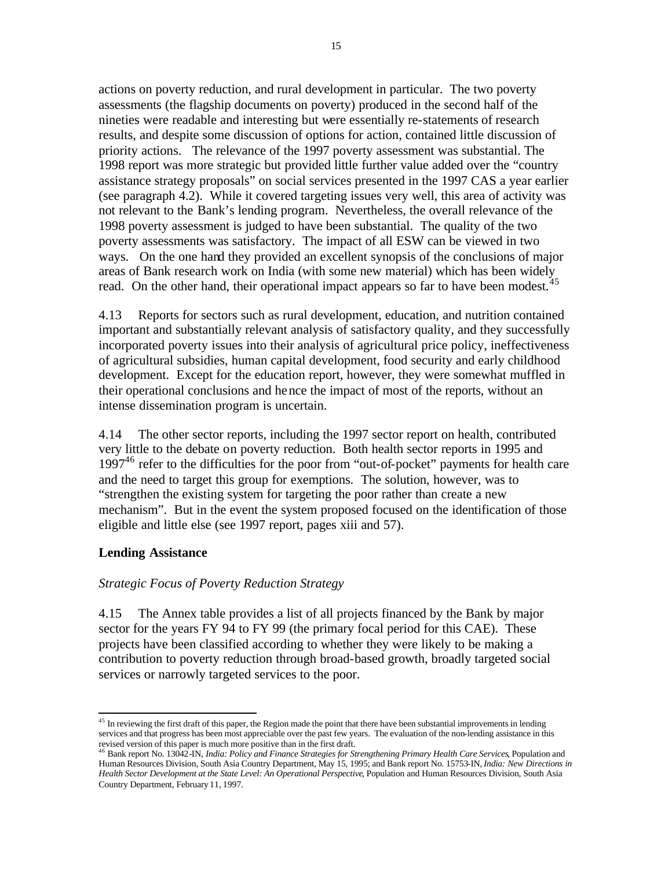actions on poverty reduction, and rural development in particular. The two poverty assessments (the flagship documents on poverty) produced in the second half of the nineties were readable and interesting but were essentially re-statements of research results, and despite some discussion of options for action, contained little discussion of priority actions. The relevance of the 1997 poverty assessment was substantial. The 1998 report was more strategic but provided little further value added over the "country assistance strategy proposals" on social services presented in the 1997 CAS a year earlier (see paragraph 4.2). While it covered targeting issues very well, this area of activity was not relevant to the Bank's lending program. Nevertheless, the overall relevance of the 1998 poverty assessment is judged to have been substantial. The quality of the two poverty assessments was satisfactory. The impact of all ESW can be viewed in two ways. On the one hand they provided an excellent synopsis of the conclusions of major areas of Bank research work on India (with some new material) which has been widely read. On the other hand, their operational impact appears so far to have been modest.<sup>45</sup>

4.13 Reports for sectors such as rural development, education, and nutrition contained important and substantially relevant analysis of satisfactory quality, and they successfully incorporated poverty issues into their analysis of agricultural price policy, ineffectiveness of agricultural subsidies, human capital development, food security and early childhood development. Except for the education report, however, they were somewhat muffled in their operational conclusions and hence the impact of most of the reports, without an intense dissemination program is uncertain.

4.14 The other sector reports, including the 1997 sector report on health, contributed very little to the debate on poverty reduction. Both health sector reports in 1995 and  $1997<sup>46</sup>$  refer to the difficulties for the poor from "out-of-pocket" payments for health care and the need to target this group for exemptions. The solution, however, was to "strengthen the existing system for targeting the poor rather than create a new mechanism". But in the event the system proposed focused on the identification of those eligible and little else (see 1997 report, pages xiii and 57).

# **Lending Assistance**

### *Strategic Focus of Poverty Reduction Strategy*

4.15 The Annex table provides a list of all projects financed by the Bank by major sector for the years FY 94 to FY 99 (the primary focal period for this CAE). These projects have been classified according to whether they were likely to be making a contribution to poverty reduction through broad-based growth, broadly targeted social services or narrowly targeted services to the poor.

 $\overline{a}$  $45$  In reviewing the first draft of this paper, the Region made the point that there have been substantial improvements in lending services and that progress has been most appreciable over the past few years. The evaluation of the non-lending assistance in this revised version of this paper is much more positive than in the first draft. <sup>46</sup> Bank report No. 13042-IN, *India: Policy and Finance Strategies for Strengthening Primary Health Care Services*, Population and

Human Resources Division, South Asia Country Department, May 15, 1995; and Bank report No. 15753-IN, *India: New Directions in Health Sector Development at the State Level: An Operational Perspective*, Population and Human Resources Division, South Asia Country Department, February 11, 1997.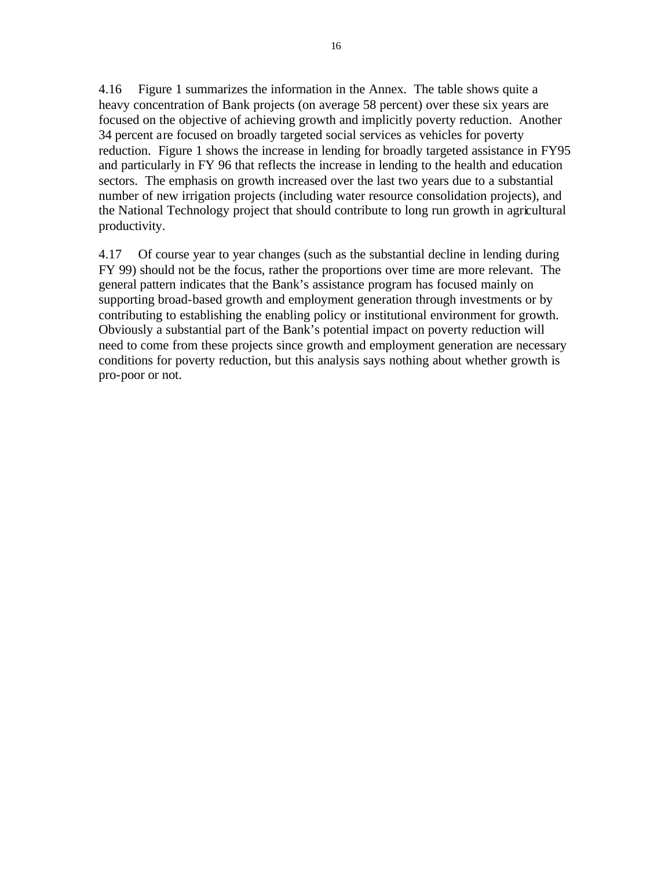4.16 Figure 1 summarizes the information in the Annex. The table shows quite a heavy concentration of Bank projects (on average 58 percent) over these six years are focused on the objective of achieving growth and implicitly poverty reduction. Another 34 percent are focused on broadly targeted social services as vehicles for poverty reduction. Figure 1 shows the increase in lending for broadly targeted assistance in FY95 and particularly in FY 96 that reflects the increase in lending to the health and education sectors. The emphasis on growth increased over the last two years due to a substantial number of new irrigation projects (including water resource consolidation projects), and the National Technology project that should contribute to long run growth in agricultural productivity.

4.17 Of course year to year changes (such as the substantial decline in lending during FY 99) should not be the focus, rather the proportions over time are more relevant. The general pattern indicates that the Bank's assistance program has focused mainly on supporting broad-based growth and employment generation through investments or by contributing to establishing the enabling policy or institutional environment for growth. Obviously a substantial part of the Bank's potential impact on poverty reduction will need to come from these projects since growth and employment generation are necessary conditions for poverty reduction, but this analysis says nothing about whether growth is pro-poor or not.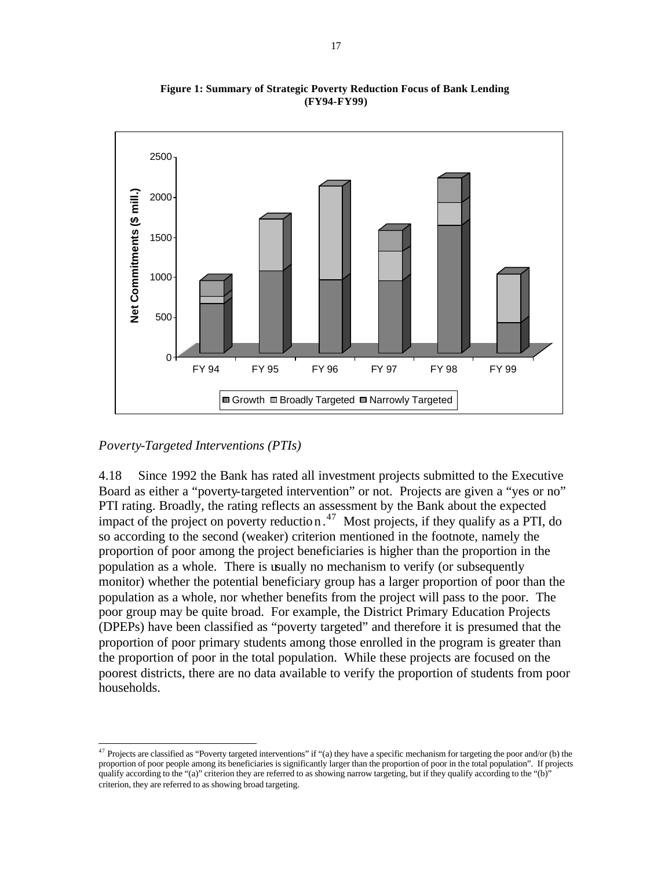

**Figure 1: Summary of Strategic Poverty Reduction Focus of Bank Lending (FY94-FY99)**

# *Poverty-Targeted Interventions (PTIs)*

 $\overline{a}$ 

4.18 Since 1992 the Bank has rated all investment projects submitted to the Executive Board as either a "poverty-targeted intervention" or not. Projects are given a "yes or no" PTI rating. Broadly, the rating reflects an assessment by the Bank about the expected impact of the project on poverty reduction.<sup>47</sup> Most projects, if they qualify as a PTI, do so according to the second (weaker) criterion mentioned in the footnote, namely the proportion of poor among the project beneficiaries is higher than the proportion in the population as a whole. There is usually no mechanism to verify (or subsequently monitor) whether the potential beneficiary group has a larger proportion of poor than the population as a whole, nor whether benefits from the project will pass to the poor. The poor group may be quite broad. For example, the District Primary Education Projects (DPEPs) have been classified as "poverty targeted" and therefore it is presumed that the proportion of poor primary students among those enrolled in the program is greater than the proportion of poor in the total population. While these projects are focused on the poorest districts, there are no data available to verify the proportion of students from poor households.

<sup>&</sup>lt;sup>47</sup> Projects are classified as "Poverty targeted interventions" if "(a) they have a specific mechanism for targeting the poor and/or (b) the proportion of poor people among its beneficiaries is significantly larger than the proportion of poor in the total population". If projects qualify according to the "(a)" criterion they are referred to as showing narrow targeting, but if they qualify according to the "(b)" criterion, they are referred to as showing broad targeting.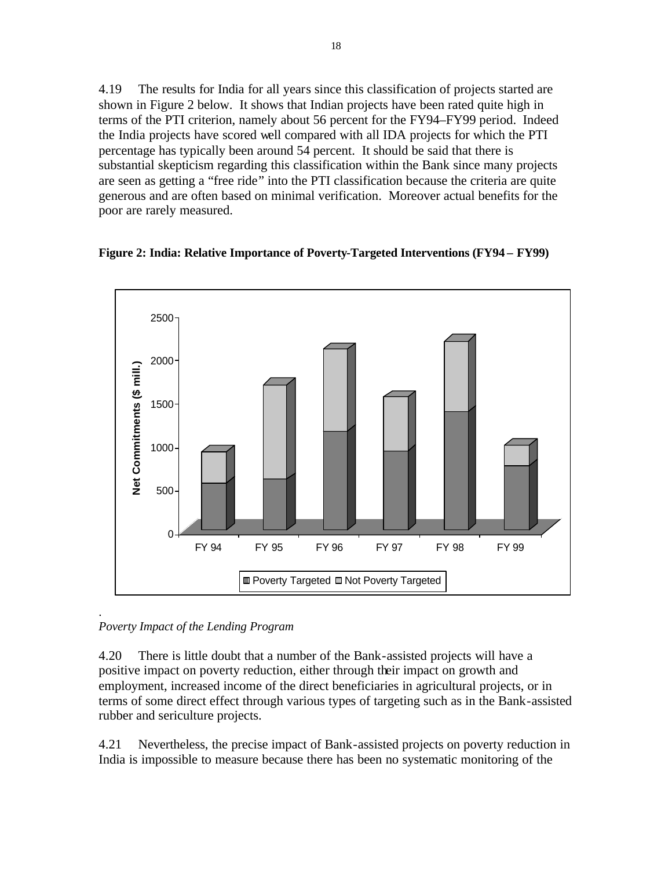4.19 The results for India for all years since this classification of projects started are shown in Figure 2 below. It shows that Indian projects have been rated quite high in terms of the PTI criterion, namely about 56 percent for the FY94–FY99 period. Indeed the India projects have scored well compared with all IDA projects for which the PTI percentage has typically been around 54 percent. It should be said that there is substantial skepticism regarding this classification within the Bank since many projects are seen as getting a "free ride" into the PTI classification because the criteria are quite generous and are often based on minimal verification. Moreover actual benefits for the poor are rarely measured.





*Poverty Impact of the Lending Program*

4.20 There is little doubt that a number of the Bank-assisted projects will have a positive impact on poverty reduction, either through their impact on growth and employment, increased income of the direct beneficiaries in agricultural projects, or in terms of some direct effect through various types of targeting such as in the Bank-assisted rubber and sericulture projects.

4.21 Nevertheless, the precise impact of Bank-assisted projects on poverty reduction in India is impossible to measure because there has been no systematic monitoring of the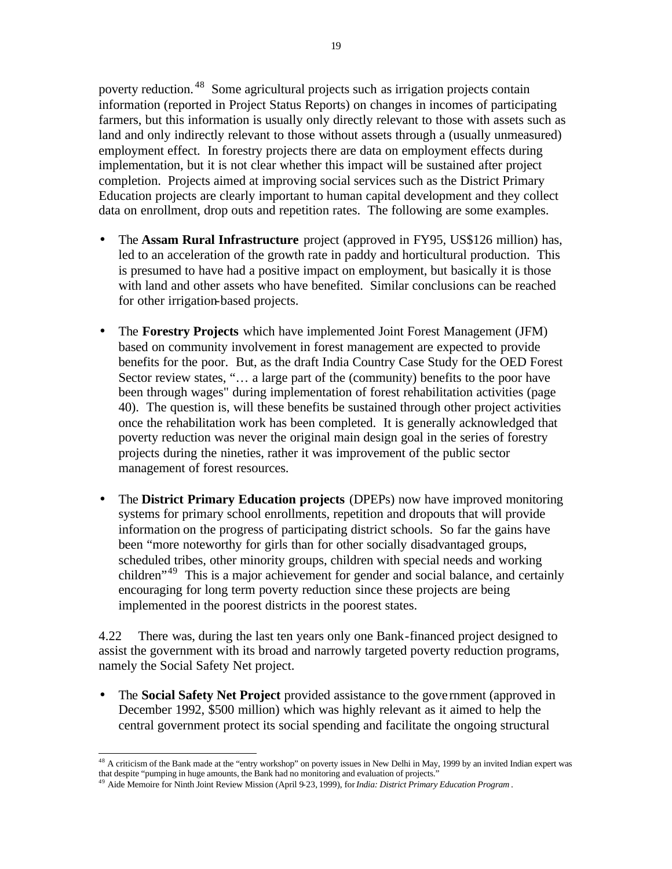poverty reduction. <sup>48</sup> Some agricultural projects such as irrigation projects contain information (reported in Project Status Reports) on changes in incomes of participating farmers, but this information is usually only directly relevant to those with assets such as land and only indirectly relevant to those without assets through a (usually unmeasured) employment effect. In forestry projects there are data on employment effects during implementation, but it is not clear whether this impact will be sustained after project completion. Projects aimed at improving social services such as the District Primary Education projects are clearly important to human capital development and they collect data on enrollment, drop outs and repetition rates. The following are some examples.

- The **Assam Rural Infrastructure** project (approved in FY95, US\$126 million) has, led to an acceleration of the growth rate in paddy and horticultural production. This is presumed to have had a positive impact on employment, but basically it is those with land and other assets who have benefited. Similar conclusions can be reached for other irrigation-based projects.
- The **Forestry Projects** which have implemented Joint Forest Management (JFM) based on community involvement in forest management are expected to provide benefits for the poor. But, as the draft India Country Case Study for the OED Forest Sector review states, "… a large part of the (community) benefits to the poor have been through wages" during implementation of forest rehabilitation activities (page 40). The question is, will these benefits be sustained through other project activities once the rehabilitation work has been completed. It is generally acknowledged that poverty reduction was never the original main design goal in the series of forestry projects during the nineties, rather it was improvement of the public sector management of forest resources.
- The **District Primary Education projects** (DPEPs) now have improved monitoring systems for primary school enrollments, repetition and dropouts that will provide information on the progress of participating district schools. So far the gains have been "more noteworthy for girls than for other socially disadvantaged groups, scheduled tribes, other minority groups, children with special needs and working children<sup>"49</sup> This is a major achievement for gender and social balance, and certainly encouraging for long term poverty reduction since these projects are being implemented in the poorest districts in the poorest states.

4.22 There was, during the last ten years only one Bank-financed project designed to assist the government with its broad and narrowly targeted poverty reduction programs, namely the Social Safety Net project.

• The **Social Safety Net Project** provided assistance to the gove rnment (approved in December 1992, \$500 million) which was highly relevant as it aimed to help the central government protect its social spending and facilitate the ongoing structural

 $48$  A criticism of the Bank made at the "entry workshop" on poverty issues in New Delhi in May, 1999 by an invited Indian expert was that despite "pumping in huge amounts, the Bank had no monitoring and evaluation of projects."

<sup>49</sup> Aide Memoire for Ninth Joint Review Mission (April 9-23, 1999), for *India: District Primary Education Program* .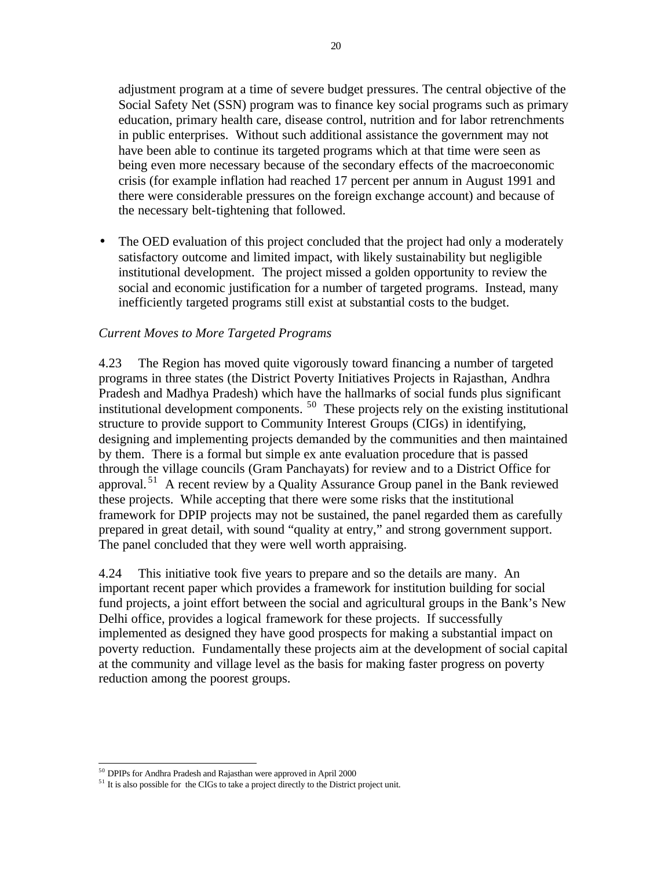adjustment program at a time of severe budget pressures. The central objective of the Social Safety Net (SSN) program was to finance key social programs such as primary education, primary health care, disease control, nutrition and for labor retrenchments in public enterprises. Without such additional assistance the government may not have been able to continue its targeted programs which at that time were seen as being even more necessary because of the secondary effects of the macroeconomic crisis (for example inflation had reached 17 percent per annum in August 1991 and there were considerable pressures on the foreign exchange account) and because of the necessary belt-tightening that followed.

• The OED evaluation of this project concluded that the project had only a moderately satisfactory outcome and limited impact, with likely sustainability but negligible institutional development. The project missed a golden opportunity to review the social and economic justification for a number of targeted programs. Instead, many inefficiently targeted programs still exist at substantial costs to the budget.

### *Current Moves to More Targeted Programs*

4.23 The Region has moved quite vigorously toward financing a number of targeted programs in three states (the District Poverty Initiatives Projects in Rajasthan, Andhra Pradesh and Madhya Pradesh) which have the hallmarks of social funds plus significant institutional development components. <sup>50</sup> These projects rely on the existing institutional structure to provide support to Community Interest Groups (CIGs) in identifying, designing and implementing projects demanded by the communities and then maintained by them. There is a formal but simple ex ante evaluation procedure that is passed through the village councils (Gram Panchayats) for review and to a District Office for approval. <sup>51</sup> A recent review by a Quality Assurance Group panel in the Bank reviewed these projects. While accepting that there were some risks that the institutional framework for DPIP projects may not be sustained, the panel regarded them as carefully prepared in great detail, with sound "quality at entry," and strong government support. The panel concluded that they were well worth appraising.

4.24 This initiative took five years to prepare and so the details are many. An important recent paper which provides a framework for institution building for social fund projects, a joint effort between the social and agricultural groups in the Bank's New Delhi office, provides a logical framework for these projects. If successfully implemented as designed they have good prospects for making a substantial impact on poverty reduction. Fundamentally these projects aim at the development of social capital at the community and village level as the basis for making faster progress on poverty reduction among the poorest groups.

 $\overline{a}$ <sup>50</sup> DPIPs for Andhra Pradesh and Rajasthan were approved in April 2000

<sup>&</sup>lt;sup>51</sup> It is also possible for the CIGs to take a project directly to the District project unit.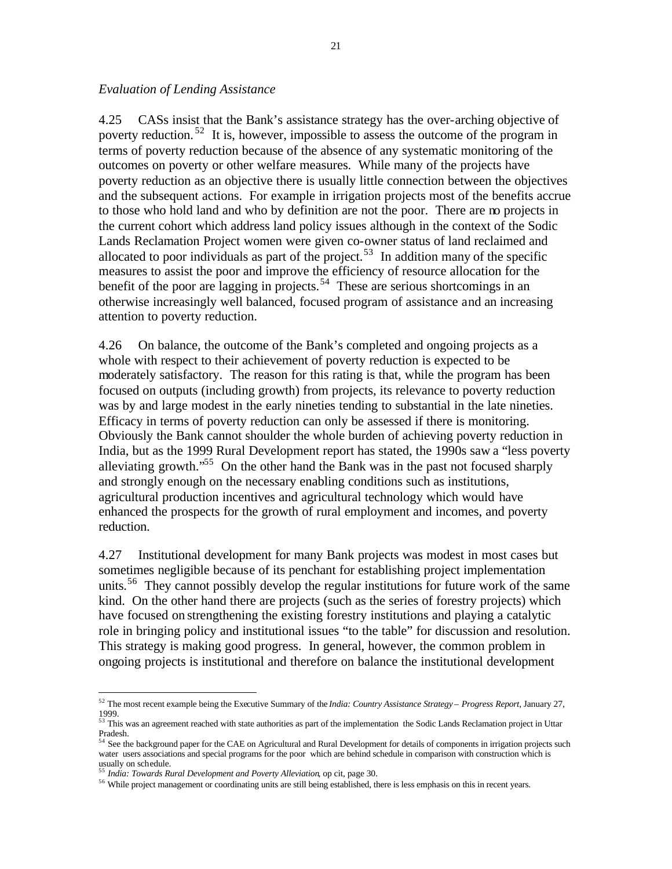#### *Evaluation of Lending Assistance*

4.25 CASs insist that the Bank's assistance strategy has the over-arching objective of poverty reduction. <sup>52</sup> It is, however, impossible to assess the outcome of the program in terms of poverty reduction because of the absence of any systematic monitoring of the outcomes on poverty or other welfare measures. While many of the projects have poverty reduction as an objective there is usually little connection between the objectives and the subsequent actions. For example in irrigation projects most of the benefits accrue to those who hold land and who by definition are not the poor. There are no projects in the current cohort which address land policy issues although in the context of the Sodic Lands Reclamation Project women were given co-owner status of land reclaimed and allocated to poor individuals as part of the project.<sup>53</sup> In addition many of the specific measures to assist the poor and improve the efficiency of resource allocation for the benefit of the poor are lagging in projects.<sup>54</sup> These are serious shortcomings in an otherwise increasingly well balanced, focused program of assistance and an increasing attention to poverty reduction.

4.26 On balance, the outcome of the Bank's completed and ongoing projects as a whole with respect to their achievement of poverty reduction is expected to be moderately satisfactory. The reason for this rating is that, while the program has been focused on outputs (including growth) from projects, its relevance to poverty reduction was by and large modest in the early nineties tending to substantial in the late nineties. Efficacy in terms of poverty reduction can only be assessed if there is monitoring. Obviously the Bank cannot shoulder the whole burden of achieving poverty reduction in India, but as the 1999 Rural Development report has stated, the 1990s saw a "less poverty alleviating growth."<sup>55</sup> On the other hand the Bank was in the past not focused sharply and strongly enough on the necessary enabling conditions such as institutions, agricultural production incentives and agricultural technology which would have enhanced the prospects for the growth of rural employment and incomes, and poverty reduction.

4.27 Institutional development for many Bank projects was modest in most cases but sometimes negligible because of its penchant for establishing project implementation units.<sup>56</sup> They cannot possibly develop the regular institutions for future work of the same kind. On the other hand there are projects (such as the series of forestry projects) which have focused on strengthening the existing forestry institutions and playing a catalytic role in bringing policy and institutional issues "to the table" for discussion and resolution. This strategy is making good progress. In general, however, the common problem in ongoing projects is institutional and therefore on balance the institutional development

<sup>52</sup> The most recent example being the Executive Summary of the *India: Country Assistance Strategy – Progress Report*, January 27, 1999.<br><sup>53</sup> This was an agreement reached with state authorities as part of the implementation the Sodic Lands Reclamation project in Uttar

Pradesh.

<sup>&</sup>lt;sup>54</sup> See the background paper for the CAE on Agricultural and Rural Development for details of components in irrigation projects such water users associations and special programs for the poor which are behind schedule in comparison with construction which is usually on schedule.

<sup>55</sup> *India: Towards Rural Development and Poverty Alleviation*, op cit, page 30.

<sup>&</sup>lt;sup>56</sup> While project management or coordinating units are still being established, there is less emphasis on this in recent years.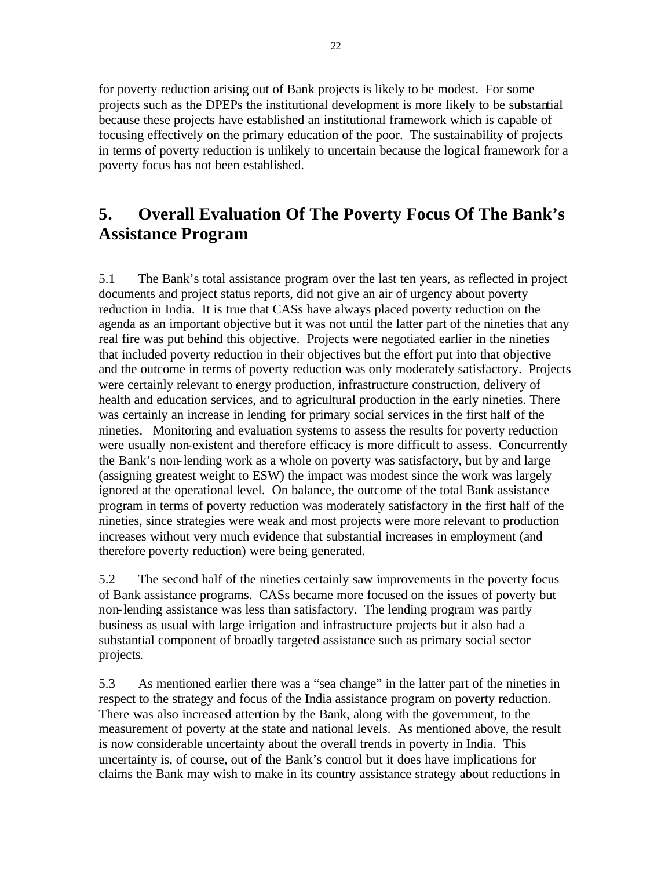for poverty reduction arising out of Bank projects is likely to be modest. For some projects such as the DPEPs the institutional development is more likely to be substantial because these projects have established an institutional framework which is capable of focusing effectively on the primary education of the poor. The sustainability of projects in terms of poverty reduction is unlikely to uncertain because the logical framework for a poverty focus has not been established.

# **5. Overall Evaluation Of The Poverty Focus Of The Bank's Assistance Program**

5.1 The Bank's total assistance program over the last ten years, as reflected in project documents and project status reports, did not give an air of urgency about poverty reduction in India. It is true that CASs have always placed poverty reduction on the agenda as an important objective but it was not until the latter part of the nineties that any real fire was put behind this objective. Projects were negotiated earlier in the nineties that included poverty reduction in their objectives but the effort put into that objective and the outcome in terms of poverty reduction was only moderately satisfactory. Projects were certainly relevant to energy production, infrastructure construction, delivery of health and education services, and to agricultural production in the early nineties. There was certainly an increase in lending for primary social services in the first half of the nineties. Monitoring and evaluation systems to assess the results for poverty reduction were usually non-existent and therefore efficacy is more difficult to assess. Concurrently the Bank's non-lending work as a whole on poverty was satisfactory, but by and large (assigning greatest weight to ESW) the impact was modest since the work was largely ignored at the operational level. On balance, the outcome of the total Bank assistance program in terms of poverty reduction was moderately satisfactory in the first half of the nineties, since strategies were weak and most projects were more relevant to production increases without very much evidence that substantial increases in employment (and therefore poverty reduction) were being generated.

5.2 The second half of the nineties certainly saw improvements in the poverty focus of Bank assistance programs. CASs became more focused on the issues of poverty but non-lending assistance was less than satisfactory. The lending program was partly business as usual with large irrigation and infrastructure projects but it also had a substantial component of broadly targeted assistance such as primary social sector projects.

5.3 As mentioned earlier there was a "sea change" in the latter part of the nineties in respect to the strategy and focus of the India assistance program on poverty reduction. There was also increased attention by the Bank, along with the government, to the measurement of poverty at the state and national levels. As mentioned above, the result is now considerable uncertainty about the overall trends in poverty in India. This uncertainty is, of course, out of the Bank's control but it does have implications for claims the Bank may wish to make in its country assistance strategy about reductions in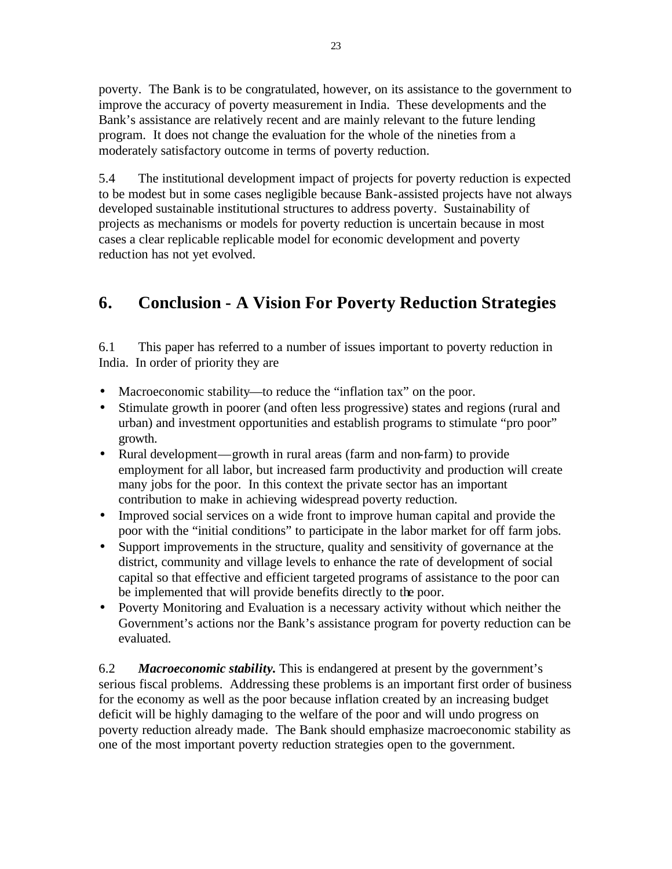poverty. The Bank is to be congratulated, however, on its assistance to the government to improve the accuracy of poverty measurement in India. These developments and the Bank's assistance are relatively recent and are mainly relevant to the future lending program. It does not change the evaluation for the whole of the nineties from a moderately satisfactory outcome in terms of poverty reduction.

5.4 The institutional development impact of projects for poverty reduction is expected to be modest but in some cases negligible because Bank-assisted projects have not always developed sustainable institutional structures to address poverty. Sustainability of projects as mechanisms or models for poverty reduction is uncertain because in most cases a clear replicable replicable model for economic development and poverty reduction has not yet evolved.

# **6. Conclusion - A Vision For Poverty Reduction Strategies**

6.1 This paper has referred to a number of issues important to poverty reduction in India. In order of priority they are

- Macroeconomic stability—to reduce the "inflation tax" on the poor.
- Stimulate growth in poorer (and often less progressive) states and regions (rural and urban) and investment opportunities and establish programs to stimulate "pro poor" growth.
- Rural development—growth in rural areas (farm and non-farm) to provide employment for all labor, but increased farm productivity and production will create many jobs for the poor. In this context the private sector has an important contribution to make in achieving widespread poverty reduction.
- Improved social services on a wide front to improve human capital and provide the poor with the "initial conditions" to participate in the labor market for off farm jobs.
- Support improvements in the structure, quality and sensitivity of governance at the district, community and village levels to enhance the rate of development of social capital so that effective and efficient targeted programs of assistance to the poor can be implemented that will provide benefits directly to the poor.
- Poverty Monitoring and Evaluation is a necessary activity without which neither the Government's actions nor the Bank's assistance program for poverty reduction can be evaluated.

6.2 *Macroeconomic stability***.** This is endangered at present by the government's serious fiscal problems. Addressing these problems is an important first order of business for the economy as well as the poor because inflation created by an increasing budget deficit will be highly damaging to the welfare of the poor and will undo progress on poverty reduction already made. The Bank should emphasize macroeconomic stability as one of the most important poverty reduction strategies open to the government.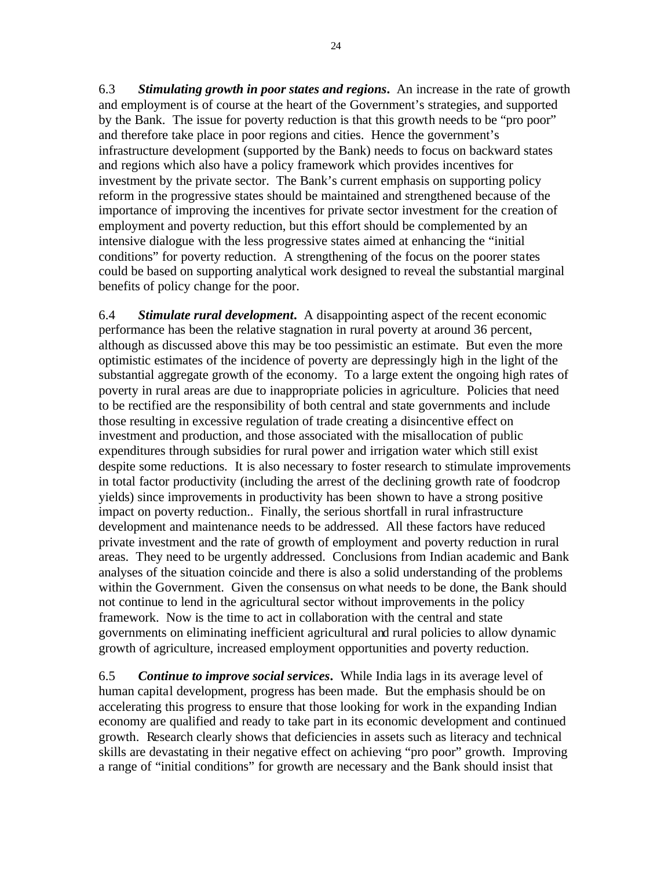6.3 *Stimulating growth in poor states and regions***.** An increase in the rate of growth and employment is of course at the heart of the Government's strategies, and supported by the Bank. The issue for poverty reduction is that this growth needs to be "pro poor" and therefore take place in poor regions and cities. Hence the government's infrastructure development (supported by the Bank) needs to focus on backward states and regions which also have a policy framework which provides incentives for investment by the private sector. The Bank's current emphasis on supporting policy reform in the progressive states should be maintained and strengthened because of the importance of improving the incentives for private sector investment for the creation of employment and poverty reduction, but this effort should be complemented by an intensive dialogue with the less progressive states aimed at enhancing the "initial conditions" for poverty reduction. A strengthening of the focus on the poorer states could be based on supporting analytical work designed to reveal the substantial marginal benefits of policy change for the poor.

6.4 *Stimulate rural development***.** A disappointing aspect of the recent economic performance has been the relative stagnation in rural poverty at around 36 percent, although as discussed above this may be too pessimistic an estimate. But even the more optimistic estimates of the incidence of poverty are depressingly high in the light of the substantial aggregate growth of the economy. To a large extent the ongoing high rates of poverty in rural areas are due to inappropriate policies in agriculture. Policies that need to be rectified are the responsibility of both central and state governments and include those resulting in excessive regulation of trade creating a disincentive effect on investment and production, and those associated with the misallocation of public expenditures through subsidies for rural power and irrigation water which still exist despite some reductions. It is also necessary to foster research to stimulate improvements in total factor productivity (including the arrest of the declining growth rate of foodcrop yields) since improvements in productivity has been shown to have a strong positive impact on poverty reduction.. Finally, the serious shortfall in rural infrastructure development and maintenance needs to be addressed. All these factors have reduced private investment and the rate of growth of employment and poverty reduction in rural areas. They need to be urgently addressed. Conclusions from Indian academic and Bank analyses of the situation coincide and there is also a solid understanding of the problems within the Government. Given the consensus on what needs to be done, the Bank should not continue to lend in the agricultural sector without improvements in the policy framework. Now is the time to act in collaboration with the central and state governments on eliminating inefficient agricultural and rural policies to allow dynamic growth of agriculture, increased employment opportunities and poverty reduction.

6.5 *Continue to improve social services***.** While India lags in its average level of human capital development, progress has been made. But the emphasis should be on accelerating this progress to ensure that those looking for work in the expanding Indian economy are qualified and ready to take part in its economic development and continued growth. Research clearly shows that deficiencies in assets such as literacy and technical skills are devastating in their negative effect on achieving "pro poor" growth. Improving a range of "initial conditions" for growth are necessary and the Bank should insist that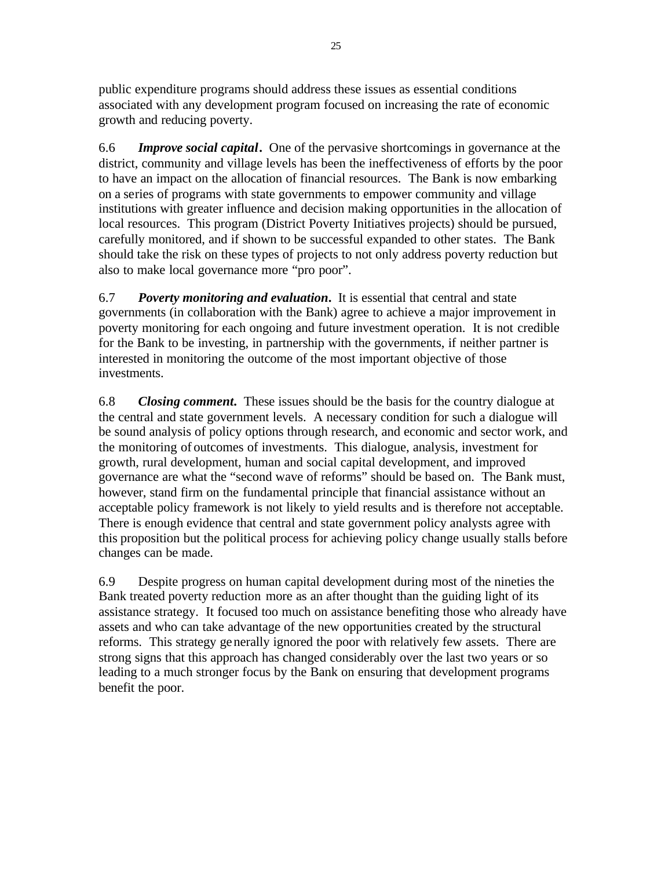public expenditure programs should address these issues as essential conditions associated with any development program focused on increasing the rate of economic growth and reducing poverty.

6.6 *Improve social capital***.** One of the pervasive shortcomings in governance at the district, community and village levels has been the ineffectiveness of efforts by the poor to have an impact on the allocation of financial resources. The Bank is now embarking on a series of programs with state governments to empower community and village institutions with greater influence and decision making opportunities in the allocation of local resources. This program (District Poverty Initiatives projects) should be pursued, carefully monitored, and if shown to be successful expanded to other states. The Bank should take the risk on these types of projects to not only address poverty reduction but also to make local governance more "pro poor".

6.7 *Poverty monitoring and evaluation***.** It is essential that central and state governments (in collaboration with the Bank) agree to achieve a major improvement in poverty monitoring for each ongoing and future investment operation. It is not credible for the Bank to be investing, in partnership with the governments, if neither partner is interested in monitoring the outcome of the most important objective of those investments.

6.8 *Closing comment***.** These issues should be the basis for the country dialogue at the central and state government levels. A necessary condition for such a dialogue will be sound analysis of policy options through research, and economic and sector work, and the monitoring of outcomes of investments. This dialogue, analysis, investment for growth, rural development, human and social capital development, and improved governance are what the "second wave of reforms" should be based on. The Bank must, however, stand firm on the fundamental principle that financial assistance without an acceptable policy framework is not likely to yield results and is therefore not acceptable. There is enough evidence that central and state government policy analysts agree with this proposition but the political process for achieving policy change usually stalls before changes can be made.

6.9 Despite progress on human capital development during most of the nineties the Bank treated poverty reduction more as an after thought than the guiding light of its assistance strategy. It focused too much on assistance benefiting those who already have assets and who can take advantage of the new opportunities created by the structural reforms. This strategy generally ignored the poor with relatively few assets. There are strong signs that this approach has changed considerably over the last two years or so leading to a much stronger focus by the Bank on ensuring that development programs benefit the poor.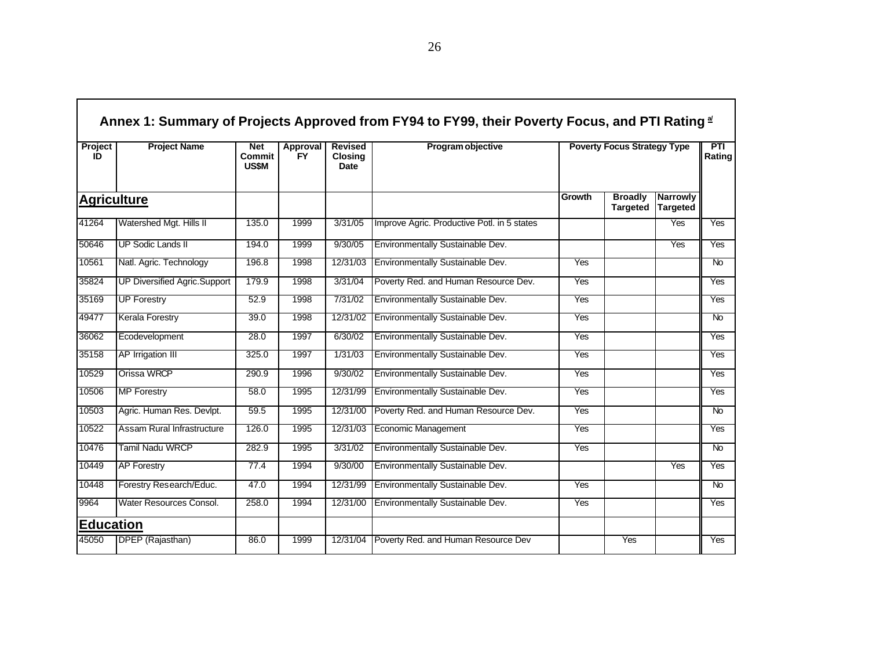| Project<br>ID      | <b>Project Name</b>                 | <b>Net</b><br>Commit<br><b>US\$M</b> | <b>Approval</b><br><b>FY</b> | <b>Revised</b><br><b>Closing</b><br>Date | Program objective                           |            | <b>Poverty Focus Strategy Type</b> |                             | <b>PTI</b><br>Rating |
|--------------------|-------------------------------------|--------------------------------------|------------------------------|------------------------------------------|---------------------------------------------|------------|------------------------------------|-----------------------------|----------------------|
| <b>Agriculture</b> |                                     |                                      |                              |                                          |                                             | Growth     | <b>Broadly</b><br><b>Targeted</b>  | <b>Narrowly</b><br>Targeted |                      |
| 41264              | Watershed Mgt. Hills II             | 135.0                                | 1999                         | 3/31/05                                  | Improve Agric. Productive Potl. in 5 states |            |                                    | Yes                         | Yes                  |
| 50646              | <b>UP Sodic Lands II</b>            | 194.0                                | 1999                         | 9/30/05                                  | Environmentally Sustainable Dev.            |            |                                    | <b>Yes</b>                  | Yes                  |
| 10561              | Natl. Agric. Technology             | 196.8                                | 1998                         | 12/31/03                                 | Environmentally Sustainable Dev.            | Yes        |                                    |                             | $\overline{N}$       |
| 35824              | <b>UP Diversified Agric.Support</b> | 179.9                                | 1998                         | 3/31/04                                  | Poverty Red. and Human Resource Dev.        | Yes        |                                    |                             | Yes                  |
| 35169              | <b>UP Forestry</b>                  | 52.9                                 | 1998                         | 7/31/02                                  | Environmentally Sustainable Dev.            | <b>Yes</b> |                                    |                             | <b>Yes</b>           |
| 49477              | <b>Kerala Forestry</b>              | 39.0                                 | 1998                         | 12/31/02                                 | Environmentally Sustainable Dev.            | Yes        |                                    |                             | $\overline{N}$       |
| 36062              | Ecodevelopment                      | 28.0                                 | 1997                         | 6/30/02                                  | Environmentally Sustainable Dev.            | Yes        |                                    |                             | Yes                  |
| 35158              | AP Irrigation III                   | 325.0                                | 1997                         | 1/31/03                                  | Environmentally Sustainable Dev.            | Yes        |                                    |                             | Yes                  |
| 10529              | Orissa WRCP                         | 290.9                                | 1996                         | 9/30/02                                  | Environmentally Sustainable Dev.            | <b>Yes</b> |                                    |                             | Yes                  |
| 10506              | <b>MP Forestry</b>                  | 58.0                                 | 1995                         | 12/31/99                                 | Environmentally Sustainable Dev.            | Yes        |                                    |                             | Yes                  |
| 10503              | Agric. Human Res. Devlpt.           | 59.5                                 | 1995                         | 12/31/00                                 | Poverty Red. and Human Resource Dev.        | Yes        |                                    |                             | N <sub>o</sub>       |
| 10522              | Assam Rural Infrastructure          | 126.0                                | 1995                         | 12/31/03                                 | <b>Economic Management</b>                  | Yes        |                                    |                             | Yes                  |
| 10476              | <b>Tamil Nadu WRCP</b>              | 282.9                                | 1995                         | 3/31/02                                  | Environmentally Sustainable Dev.            | Yes        |                                    |                             | N <sub>o</sub>       |
| 10449              | <b>AP Forestry</b>                  | 77.4                                 | 1994                         | 9/30/00                                  | Environmentally Sustainable Dev.            |            |                                    | Yes                         | Yes                  |
| 10448              | Forestry Research/Educ.             | 47.0                                 | 1994                         | 12/31/99                                 | Environmentally Sustainable Dev.            | Yes        |                                    |                             | $\overline{N}$       |
| 9964               | Water Resources Consol.             | 258.0                                | 1994                         | 12/31/00                                 | Environmentally Sustainable Dev.            | Yes        |                                    |                             | Yes                  |
| <b>Education</b>   |                                     |                                      |                              |                                          |                                             |            |                                    |                             |                      |
| 45050              | DPEP (Rajasthan)                    | 86.0                                 | 1999                         | 12/31/04                                 | Poverty Red. and Human Resource Dev         |            | Yes                                |                             | Yes                  |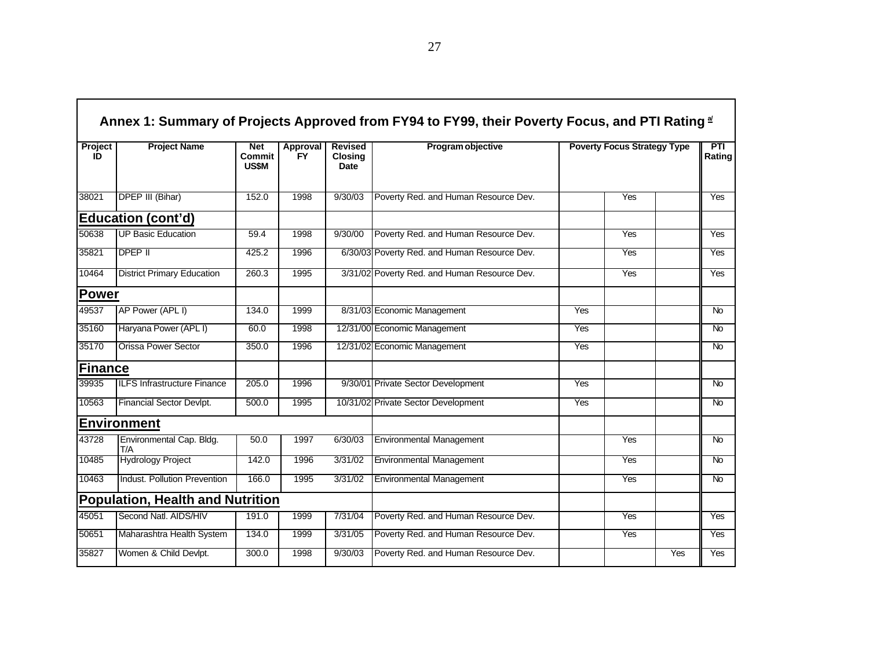|               | Annex 1: Summary of Projects Approved from FY94 to FY99, their Poverty Focus, and PTI Rating $\frac{d}{dx}$ |                                             |                       |                                          |                                              |                                    |     |     |                |  |  |  |
|---------------|-------------------------------------------------------------------------------------------------------------|---------------------------------------------|-----------------------|------------------------------------------|----------------------------------------------|------------------------------------|-----|-----|----------------|--|--|--|
| Project<br>ID | <b>Project Name</b>                                                                                         | <b>Net</b><br><b>Commit</b><br><b>US\$M</b> | Approval<br><b>FY</b> | <b>Revised</b><br><b>Closing</b><br>Date | Program objective                            | <b>Poverty Focus Strategy Type</b> |     |     | PTI<br>Rating  |  |  |  |
| 38021         | <b>DPEP III (Bihar)</b>                                                                                     | 152.0                                       | 1998                  | 9/30/03                                  | Poverty Red. and Human Resource Dev.         |                                    | Yes |     | Yes            |  |  |  |
|               | <b>Education (cont'd)</b>                                                                                   |                                             |                       |                                          |                                              |                                    |     |     |                |  |  |  |
| 50638         | <b>UP Basic Education</b>                                                                                   | 59.4                                        | 1998                  | 9/30/00                                  | Poverty Red. and Human Resource Dev.         |                                    | Yes |     | Yes            |  |  |  |
| 35821         | <b>DPEP II</b>                                                                                              | 425.2                                       | 1996                  |                                          | 6/30/03 Poverty Red. and Human Resource Dev. |                                    | Yes |     | Yes            |  |  |  |
| 10464         | <b>District Primary Education</b>                                                                           | 260.3                                       | 1995                  |                                          | 3/31/02 Poverty Red. and Human Resource Dev. |                                    | Yes |     | Yes            |  |  |  |
| Power         |                                                                                                             |                                             |                       |                                          |                                              |                                    |     |     |                |  |  |  |
| 49537         | AP Power (APL I)                                                                                            | 134.0                                       | 1999                  |                                          | 8/31/03 Economic Management                  | Yes                                |     |     | $\overline{N}$ |  |  |  |
| 35160         | Haryana Power (APL I)                                                                                       | 60.0                                        | 1998                  |                                          | 12/31/00 Economic Management                 | <b>Yes</b>                         |     |     | N <sub>o</sub> |  |  |  |
| 35170         | <b>Orissa Power Sector</b>                                                                                  | 350.0                                       | 1996                  |                                          | 12/31/02 Economic Management                 | Yes                                |     |     | <b>No</b>      |  |  |  |
| Finance       |                                                                                                             |                                             |                       |                                          |                                              |                                    |     |     |                |  |  |  |
| 39935         | <b>ILFS Infrastructure Finance</b>                                                                          | 205.0                                       | 1996                  |                                          | 9/30/01 Private Sector Development           | Yes                                |     |     | <b>No</b>      |  |  |  |
| 10563         | Financial Sector Devlpt.                                                                                    | 500.0                                       | 1995                  |                                          | 10/31/02 Private Sector Development          | Yes                                |     |     | <b>No</b>      |  |  |  |
|               | <b>Environment</b>                                                                                          |                                             |                       |                                          |                                              |                                    |     |     |                |  |  |  |
| 43728         | Environmental Cap. Bldg.<br>T/A                                                                             | 50.0                                        | 1997                  | 6/30/03                                  | <b>Environmental Management</b>              |                                    | Yes |     | <b>No</b>      |  |  |  |
| 10485         | <b>Hydrology Project</b>                                                                                    | 142.0                                       | 1996                  | 3/31/02                                  | <b>Environmental Management</b>              |                                    | Yes |     | <b>No</b>      |  |  |  |
| 10463         | <b>Indust. Pollution Prevention</b>                                                                         | 166.0                                       | 1995                  | 3/31/02                                  | <b>Environmental Management</b>              |                                    | Yes |     | N <sub>o</sub> |  |  |  |
|               | <b>Population, Health and Nutrition</b>                                                                     |                                             |                       |                                          |                                              |                                    |     |     |                |  |  |  |
| 45051         | Second Natl. AIDS/HIV                                                                                       | 191.0                                       | 1999                  | 7/31/04                                  | Poverty Red. and Human Resource Dev.         |                                    | Yes |     | Yes            |  |  |  |
| 50651         | Maharashtra Health System                                                                                   | 134.0                                       | 1999                  | 3/31/05                                  | Poverty Red. and Human Resource Dev.         |                                    | Yes |     | Yes            |  |  |  |
| 35827         | Women & Child Devlpt.                                                                                       | 300.0                                       | 1998                  | 9/30/03                                  | Poverty Red. and Human Resource Dev.         |                                    |     | Yes | Yes            |  |  |  |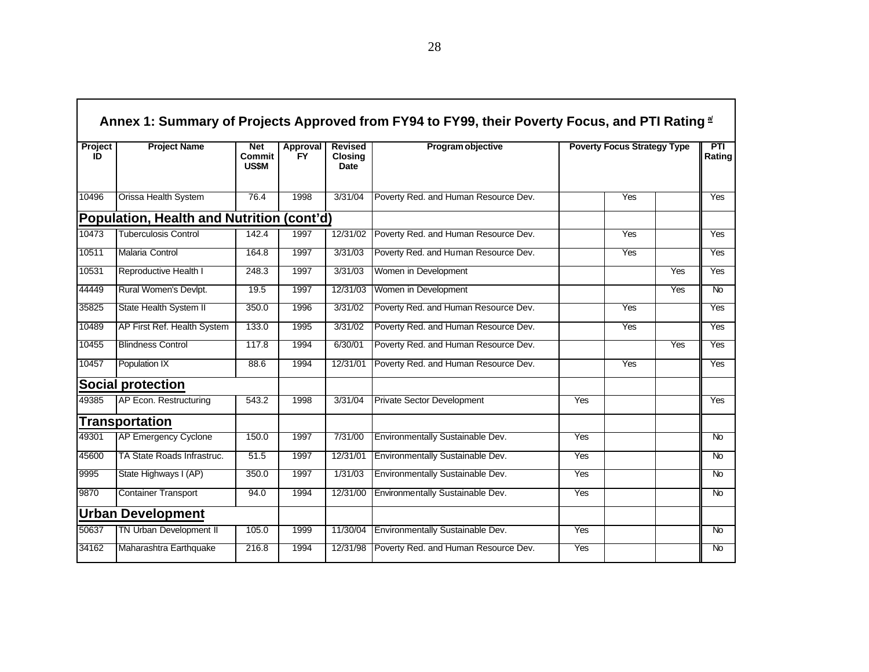| Project<br>ID | <b>Project Name</b><br><b>Net</b><br><b>Revised</b><br>Approval<br><b>Commit</b><br><b>FY</b><br><b>Closing</b><br><b>US\$M</b><br>Date |       | Program objective | <b>Poverty Focus Strategy Type</b> |                                      |            | <b>PTI</b><br>Rating |            |                |
|---------------|-----------------------------------------------------------------------------------------------------------------------------------------|-------|-------------------|------------------------------------|--------------------------------------|------------|----------------------|------------|----------------|
| 10496         | Orissa Health System                                                                                                                    | 76.4  | 1998              | 3/31/04                            | Poverty Red. and Human Resource Dev. |            | Yes                  |            | <b>Yes</b>     |
|               | Population, Health and Nutrition (cont'd)                                                                                               |       |                   |                                    |                                      |            |                      |            |                |
| 10473         | <b>Tuberculosis Control</b>                                                                                                             | 142.4 | 1997              | 12/31/02                           | Poverty Red. and Human Resource Dev. |            | Yes                  |            | Yes            |
| 10511         | <b>Malaria Control</b>                                                                                                                  | 164.8 | 1997              | 3/31/03                            | Poverty Red. and Human Resource Dev. |            | Yes                  |            | Yes            |
| 10531         | Reproductive Health I                                                                                                                   | 248.3 | 1997              | 3/31/03                            | Women in Development                 |            |                      | Yes        | Yes            |
| 44449         | Rural Women's Devlpt.                                                                                                                   | 19.5  | 1997              | 12/31/03                           | Women in Development                 |            |                      | Yes        | $\overline{N}$ |
| 35825         | State Health System II                                                                                                                  | 350.0 | 1996              | 3/31/02                            | Poverty Red. and Human Resource Dev. |            | Yes                  |            | Yes            |
| 10489         | AP First Ref. Health System                                                                                                             | 133.0 | 1995              | 3/31/02                            | Poverty Red. and Human Resource Dev. |            | Yes                  |            | Yes            |
| 10455         | <b>Blindness Control</b>                                                                                                                | 117.8 | 1994              | 6/30/01                            | Poverty Red. and Human Resource Dev. |            |                      | <b>Yes</b> | <b>Yes</b>     |
| 10457         | Population IX                                                                                                                           | 88.6  | 1994              | 12/31/01                           | Poverty Red. and Human Resource Dev. |            | Yes                  |            | <b>Yes</b>     |
|               | <b>Social protection</b>                                                                                                                |       |                   |                                    |                                      |            |                      |            |                |
| 49385         | AP Econ. Restructuring                                                                                                                  | 543.2 | 1998              | 3/31/04                            | <b>Private Sector Development</b>    | Yes        |                      |            | Yes            |
|               | <b>Transportation</b>                                                                                                                   |       |                   |                                    |                                      |            |                      |            |                |
| 49301         | <b>AP Emergency Cyclone</b>                                                                                                             | 150.0 | 1997              | 7/31/00                            | Environmentally Sustainable Dev.     | <b>Yes</b> |                      |            | N <sub>o</sub> |
| 45600         | TA State Roads Infrastruc.                                                                                                              | 51.5  | 1997              | 12/31/01                           | Environmentally Sustainable Dev.     | Yes        |                      |            | <b>No</b>      |
| 9995          | State Highways I (AP)                                                                                                                   | 350.0 | 1997              | 1/31/03                            | Environmentally Sustainable Dev.     | <b>Yes</b> |                      |            | N <sub>o</sub> |
| 9870          | <b>Container Transport</b>                                                                                                              | 94.0  | 1994              | 12/31/00                           | Environmentally Sustainable Dev.     | Yes        |                      |            | $\overline{N}$ |
|               | <b>Urban Development</b>                                                                                                                |       |                   |                                    |                                      |            |                      |            |                |
| 50637         | <b>TN Urban Development II</b>                                                                                                          | 105.0 | 1999              | 11/30/04                           | Environmentally Sustainable Dev.     | Yes        |                      |            | $\overline{N}$ |
| 34162         | Maharashtra Earthquake                                                                                                                  | 216.8 | 1994              | 12/31/98                           | Poverty Red. and Human Resource Dev. | Yes        |                      |            | $\overline{N}$ |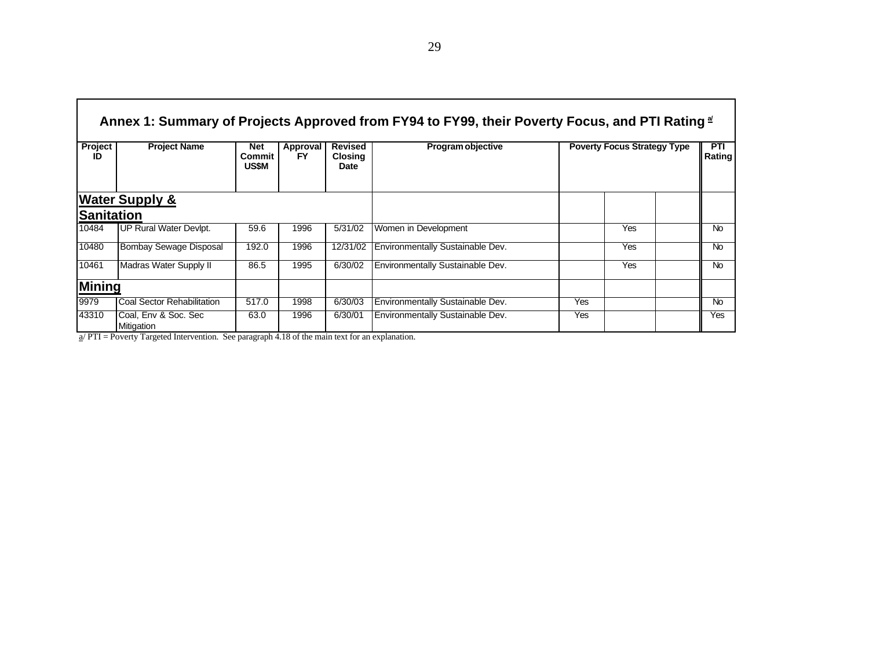| Annex 1: Summary of Projects Approved from FY94 to FY99, their Poverty Focus, and PTI Rating $\frac{a}{2}$<br><b>Poverty Focus Strategy Type</b> |                                         |                               |                                                                     |                                   |                                                                     |     |               |           |  |  |  |  |
|--------------------------------------------------------------------------------------------------------------------------------------------------|-----------------------------------------|-------------------------------|---------------------------------------------------------------------|-----------------------------------|---------------------------------------------------------------------|-----|---------------|-----------|--|--|--|--|
| Project<br>ID                                                                                                                                    | <b>Project Name</b>                     | Net<br>Commit<br><b>US\$M</b> | Approval<br>FY                                                      | <b>Revised</b><br>Closing<br>Date | Program objective                                                   |     | PTI<br>Rating |           |  |  |  |  |
|                                                                                                                                                  | <b>Water Supply &amp;</b>               |                               |                                                                     |                                   |                                                                     |     |               |           |  |  |  |  |
| <b>Sanitation</b>                                                                                                                                |                                         |                               |                                                                     |                                   |                                                                     |     |               |           |  |  |  |  |
| 10484                                                                                                                                            | UP Rural Water Devlpt.                  | 59.6                          | 1996                                                                | 5/31/02                           | Women in Development                                                |     | Yes           | <b>No</b> |  |  |  |  |
| 10480                                                                                                                                            | Bombay Sewage Disposal                  | 192.0                         | 1996                                                                | 12/31/02                          | Environmentally Sustainable Dev.                                    |     | Yes           | <b>No</b> |  |  |  |  |
| 10461                                                                                                                                            | <b>Madras Water Supply II</b>           | 86.5                          | 1995                                                                | 6/30/02                           | Environmentally Sustainable Dev.                                    |     | Yes           | <b>No</b> |  |  |  |  |
| <b>Mining</b>                                                                                                                                    |                                         |                               |                                                                     |                                   |                                                                     |     |               |           |  |  |  |  |
| 9979                                                                                                                                             | Coal Sector Rehabilitation              | 517.0                         | 1998                                                                | 6/30/03                           | Environmentally Sustainable Dev.                                    | Yes |               | <b>No</b> |  |  |  |  |
| 43310<br>$\sqrt{2}$                                                                                                                              | Coal, Env & Soc. Sec<br>Mitigation<br>. | 63.0                          | 1996<br>$\bullet$ $\bullet$ $\bullet$ $\bullet$ $\bullet$ $\bullet$ | 6/30/01<br>$\sim$ $\sim$          | Environmentally Sustainable Dev.<br>the contract of the contract of | Yes |               | Yes       |  |  |  |  |

a/ PTI = Poverty Targeted Intervention. See paragraph 4.18 of the main text for an explanation.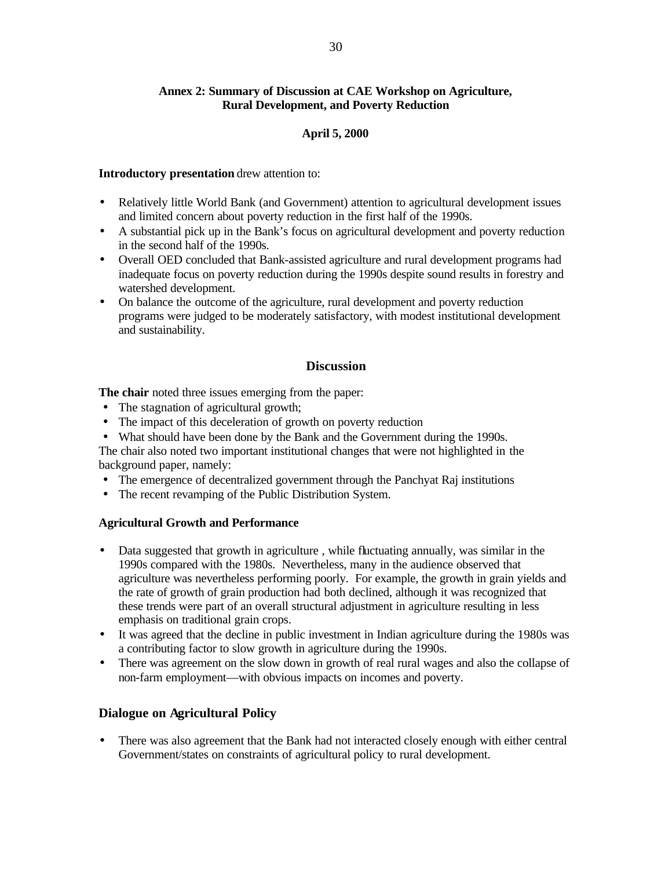# **Annex 2: Summary of Discussion at CAE Workshop on Agriculture, Rural Development, and Poverty Reduction**

## **April 5, 2000**

#### **Introductory presentation** drew attention to:

- Relatively little World Bank (and Government) attention to agricultural development issues and limited concern about poverty reduction in the first half of the 1990s.
- A substantial pick up in the Bank's focus on agricultural development and poverty reduction in the second half of the 1990s.
- Overall OED concluded that Bank-assisted agriculture and rural development programs had inadequate focus on poverty reduction during the 1990s despite sound results in forestry and watershed development.
- On balance the outcome of the agriculture, rural development and poverty reduction programs were judged to be moderately satisfactory, with modest institutional development and sustainability.

### **Discussion**

**The chair** noted three issues emerging from the paper:

- The stagnation of agricultural growth;
- The impact of this deceleration of growth on poverty reduction
- What should have been done by the Bank and the Government during the 1990s.

The chair also noted two important institutional changes that were not highlighted in the background paper, namely:

- The emergence of decentralized government through the Panchyat Raj institutions
- The recent revamping of the Public Distribution System.

#### **Agricultural Growth and Performance**

- Data suggested that growth in agriculture, while fluctuating annually, was similar in the 1990s compared with the 1980s. Nevertheless, many in the audience observed that agriculture was nevertheless performing poorly. For example, the growth in grain yields and the rate of growth of grain production had both declined, although it was recognized that these trends were part of an overall structural adjustment in agriculture resulting in less emphasis on traditional grain crops.
- It was agreed that the decline in public investment in Indian agriculture during the 1980s was a contributing factor to slow growth in agriculture during the 1990s.
- There was agreement on the slow down in growth of real rural wages and also the collapse of non-farm employment—with obvious impacts on incomes and poverty.

### **Dialogue on Agricultural Policy**

• There was also agreement that the Bank had not interacted closely enough with either central Government/states on constraints of agricultural policy to rural development.